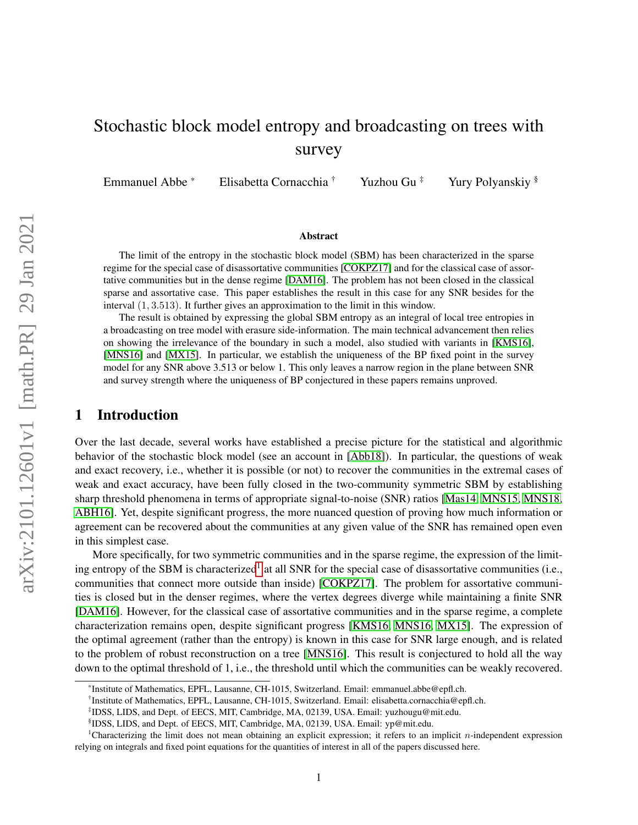# Stochastic block model entropy and broadcasting on trees with survey

Emmanuel Abbe \* Elisabetta Cornacchia † Yuzhou Gu \* Yury Polyanskiy §

#### Abstract

The limit of the entropy in the stochastic block model (SBM) has been characterized in the sparse regime for the special case of disassortative communities [\[COKPZ17\]](#page-11-0) and for the classical case of assortative communities but in the dense regime [\[DAM16\]](#page-11-1). The problem has not been closed in the classical sparse and assortative case. This paper establishes the result in this case for any SNR besides for the interval (1, 3.513). It further gives an approximation to the limit in this window.

The result is obtained by expressing the global SBM entropy as an integral of local tree entropies in a broadcasting on tree model with erasure side-information. The main technical advancement then relies on showing the irrelevance of the boundary in such a model, also studied with variants in [\[KMS16\]](#page-11-2), [\[MNS16\]](#page-11-3) and [\[MX15\]](#page-11-4). In particular, we establish the uniqueness of the BP fixed point in the survey model for any SNR above 3.513 or below 1. This only leaves a narrow region in the plane between SNR and survey strength where the uniqueness of BP conjectured in these papers remains unproved.

## 1 Introduction

Over the last decade, several works have established a precise picture for the statistical and algorithmic behavior of the stochastic block model (see an account in [\[Abb18\]](#page-10-0)). In particular, the questions of weak and exact recovery, i.e., whether it is possible (or not) to recover the communities in the extremal cases of weak and exact accuracy, have been fully closed in the two-community symmetric SBM by establishing sharp threshold phenomena in terms of appropriate signal-to-noise (SNR) ratios [\[Mas14,](#page-11-5) [MNS15,](#page-11-6) [MNS18,](#page-11-7) [ABH16\]](#page-10-1). Yet, despite significant progress, the more nuanced question of proving how much information or agreement can be recovered about the communities at any given value of the SNR has remained open even in this simplest case.

More specifically, for two symmetric communities and in the sparse regime, the expression of the limit-ing entropy of the SBM is characterized<sup>[1](#page-0-0)</sup> at all SNR for the special case of disassortative communities (i.e., communities that connect more outside than inside) [\[COKPZ17\]](#page-11-0). The problem for assortative communities is closed but in the denser regimes, where the vertex degrees diverge while maintaining a finite SNR [\[DAM16\]](#page-11-1). However, for the classical case of assortative communities and in the sparse regime, a complete characterization remains open, despite significant progress [\[KMS16,](#page-11-2) [MNS16,](#page-11-3) [MX15\]](#page-11-4). The expression of the optimal agreement (rather than the entropy) is known in this case for SNR large enough, and is related to the problem of robust reconstruction on a tree [\[MNS16\]](#page-11-3). This result is conjectured to hold all the way down to the optimal threshold of 1, i.e., the threshold until which the communities can be weakly recovered.

<sup>\*</sup> Institute of Mathematics, EPFL, Lausanne, CH-1015, Switzerland. Email: emmanuel.abbe@epfl.ch.

<sup>†</sup> Institute of Mathematics, EPFL, Lausanne, CH-1015, Switzerland. Email: elisabetta.cornacchia@epfl.ch.

<sup>‡</sup> IDSS, LIDS, and Dept. of EECS, MIT, Cambridge, MA, 02139, USA. Email: yuzhougu@mit.edu.

<span id="page-0-0"></span><sup>§</sup> IDSS, LIDS, and Dept. of EECS, MIT, Cambridge, MA, 02139, USA. Email: yp@mit.edu.

<sup>&</sup>lt;sup>1</sup>Characterizing the limit does not mean obtaining an explicit expression; it refers to an implicit *n*-independent expression relying on integrals and fixed point equations for the quantities of interest in all of the papers discussed here.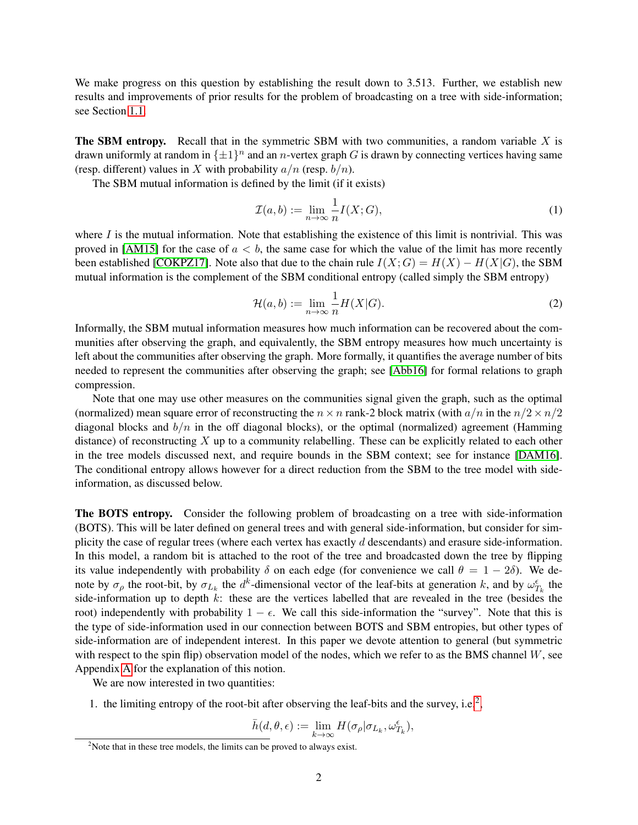We make progress on this question by establishing the result down to 3.513. Further, we establish new results and improvements of prior results for the problem of broadcasting on a tree with side-information; see Section [1.1.](#page-3-0)

**The SBM entropy.** Recall that in the symmetric SBM with two communities, a random variable  $X$  is drawn uniformly at random in  $\{\pm 1\}^n$  and an *n*-vertex graph G is drawn by connecting vertices having same (resp. different) values in X with probability  $a/n$  (resp.  $b/n$ ).

The SBM mutual information is defined by the limit (if it exists)

$$
\mathcal{I}(a,b) := \lim_{n \to \infty} \frac{1}{n} I(X;G),\tag{1}
$$

where  $I$  is the mutual information. Note that establishing the existence of this limit is nontrivial. This was proved in [\[AM15\]](#page-10-2) for the case of  $a < b$ , the same case for which the value of the limit has more recently been established [\[COKPZ17\]](#page-11-0). Note also that due to the chain rule  $I(X;G) = H(X) - H(X|G)$ , the SBM mutual information is the complement of the SBM conditional entropy (called simply the SBM entropy)

$$
\mathcal{H}(a,b) := \lim_{n \to \infty} \frac{1}{n} H(X|G). \tag{2}
$$

Informally, the SBM mutual information measures how much information can be recovered about the communities after observing the graph, and equivalently, the SBM entropy measures how much uncertainty is left about the communities after observing the graph. More formally, it quantifies the average number of bits needed to represent the communities after observing the graph; see [\[Abb16\]](#page-10-3) for formal relations to graph compression.

Note that one may use other measures on the communities signal given the graph, such as the optimal (normalized) mean square error of reconstructing the  $n \times n$  rank-2 block matrix (with  $a/n$  in the  $n/2 \times n/2$ diagonal blocks and  $b/n$  in the off diagonal blocks), or the optimal (normalized) agreement (Hamming distance) of reconstructing  $X$  up to a community relabelling. These can be explicitly related to each other in the tree models discussed next, and require bounds in the SBM context; see for instance [\[DAM16\]](#page-11-1). The conditional entropy allows however for a direct reduction from the SBM to the tree model with sideinformation, as discussed below.

The BOTS entropy. Consider the following problem of broadcasting on a tree with side-information (BOTS). This will be later defined on general trees and with general side-information, but consider for simplicity the case of regular trees (where each vertex has exactly  $d$  descendants) and erasure side-information. In this model, a random bit is attached to the root of the tree and broadcasted down the tree by flipping its value independently with probability  $\delta$  on each edge (for convenience we call  $\theta = 1 - 2\delta$ ). We denote by  $\sigma_\rho$  the root-bit, by  $\sigma_{L_k}$  the  $d^k$ -dimensional vector of the leaf-bits at generation k, and by  $\omega_{T_k}^{\epsilon}$  the side-information up to depth  $k$ : these are the vertices labelled that are revealed in the tree (besides the root) independently with probability  $1 - \epsilon$ . We call this side-information the "survey". Note that this is the type of side-information used in our connection between BOTS and SBM entropies, but other types of side-information are of independent interest. In this paper we devote attention to general (but symmetric with respect to the spin flip) observation model of the nodes, which we refer to as the BMS channel  $W$ , see Appendix [A](#page-12-0) for the explanation of this notion.

We are now interested in two quantities:

1. the limiting entropy of the root-bit after observing the leaf-bits and the survey, i.e.<sup>[2](#page-1-0)</sup>,

$$
\bar{h}(d,\theta,\epsilon) := \lim_{k \to \infty} H(\sigma_{\rho} | \sigma_{L_k}, \omega_{T_k}^{\epsilon}),
$$

<span id="page-1-0"></span><sup>&</sup>lt;sup>2</sup>Note that in these tree models, the limits can be proved to always exist.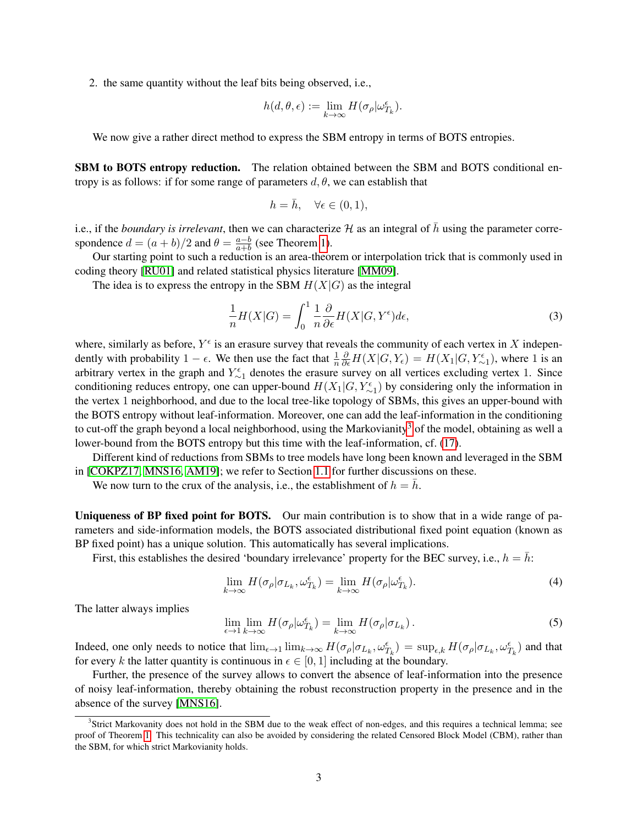2. the same quantity without the leaf bits being observed, i.e.,

$$
h(d, \theta, \epsilon) := \lim_{k \to \infty} H(\sigma_{\rho} | \omega_{T_k}^{\epsilon}).
$$

We now give a rather direct method to express the SBM entropy in terms of BOTS entropies.

SBM to BOTS entropy reduction. The relation obtained between the SBM and BOTS conditional entropy is as follows: if for some range of parameters  $d, \theta$ , we can establish that

$$
h = \bar{h}, \quad \forall \epsilon \in (0, 1),
$$

i.e., if the *boundary is irrelevant*, then we can characterize  $H$  as an integral of  $\bar{h}$  using the parameter correspondence  $d = (a + b)/2$  and  $\theta = \frac{a-b}{a+b}$  $\frac{a-b}{a+b}$  (see Theorem [1\)](#page-4-0).

Our starting point to such a reduction is an area-theorem or interpolation trick that is commonly used in coding theory [\[RU01\]](#page-11-8) and related statistical physics literature [\[MM09\]](#page-11-9).

The idea is to express the entropy in the SBM  $H(X|G)$  as the integral

$$
\frac{1}{n}H(X|G) = \int_0^1 \frac{1}{n} \frac{\partial}{\partial \epsilon} H(X|G, Y^{\epsilon}) d\epsilon,\tag{3}
$$

where, similarly as before,  $Y^{\epsilon}$  is an erasure survey that reveals the community of each vertex in X independently with probability  $1 - \epsilon$ . We then use the fact that  $\frac{1}{n}$  $\frac{\partial}{\partial \epsilon} H(X|G, Y_{\epsilon}) = H(X_1|G, Y_{\sim 1}^{\epsilon}),$  where 1 is an arbitrary vertex in the graph and  $Y_{\sim 1}^{\epsilon}$  denotes the erasure survey on all vertices excluding vertex 1. Since conditioning reduces entropy, one can upper-bound  $H(X_1|G, Y_{\sim 1}^{\epsilon})$  by considering only the information in the vertex 1 neighborhood, and due to the local tree-like topology of SBMs, this gives an upper-bound with the BOTS entropy without leaf-information. Moreover, one can add the leaf-information in the conditioning to cut-off the graph beyond a local neighborhood, using the Markovianity<sup>[3](#page-2-0)</sup> of the model, obtaining as well a lower-bound from the BOTS entropy but this time with the leaf-information, cf. [\(17\)](#page-6-0).

Different kind of reductions from SBMs to tree models have long been known and leveraged in the SBM in [\[COKPZ17,](#page-11-0) [MNS16,](#page-11-3) [AM19\]](#page-11-10); we refer to Section [1.1](#page-3-0) for further discussions on these.

We now turn to the crux of the analysis, i.e., the establishment of  $h = \bar{h}$ .

Uniqueness of BP fixed point for BOTS. Our main contribution is to show that in a wide range of parameters and side-information models, the BOTS associated distributional fixed point equation (known as BP fixed point) has a unique solution. This automatically has several implications.

First, this establishes the desired 'boundary irrelevance' property for the BEC survey, i.e.,  $h = \overline{h}$ :

<span id="page-2-2"></span>
$$
\lim_{k \to \infty} H(\sigma_{\rho} | \sigma_{L_k}, \omega_{T_k}^{\epsilon}) = \lim_{k \to \infty} H(\sigma_{\rho} | \omega_{T_k}^{\epsilon}). \tag{4}
$$

The latter always implies

<span id="page-2-1"></span>
$$
\lim_{\epsilon \to 1} \lim_{k \to \infty} H(\sigma_{\rho} | \omega_{T_k}^{\epsilon}) = \lim_{k \to \infty} H(\sigma_{\rho} | \sigma_{L_k}). \tag{5}
$$

Indeed, one only needs to notice that  $\lim_{\epsilon \to 1} \lim_{k \to \infty} H(\sigma_\rho | \sigma_{L_k}, \omega_{T_k}^{\epsilon}) = \sup_{\epsilon, k} H(\sigma_\rho | \sigma_{L_k}, \omega_{T_k}^{\epsilon})$  and that for every k the latter quantity is continuous in  $\epsilon \in [0, 1]$  including at the boundary.

Further, the presence of the survey allows to convert the absence of leaf-information into the presence of noisy leaf-information, thereby obtaining the robust reconstruction property in the presence and in the absence of the survey [\[MNS16\]](#page-11-3).

<span id="page-2-0"></span><sup>&</sup>lt;sup>3</sup>Strict Markovanity does not hold in the SBM due to the weak effect of non-edges, and this requires a technical lemma; see proof of Theorem [1.](#page-4-0) This technicality can also be avoided by considering the related Censored Block Model (CBM), rather than the SBM, for which strict Markovianity holds.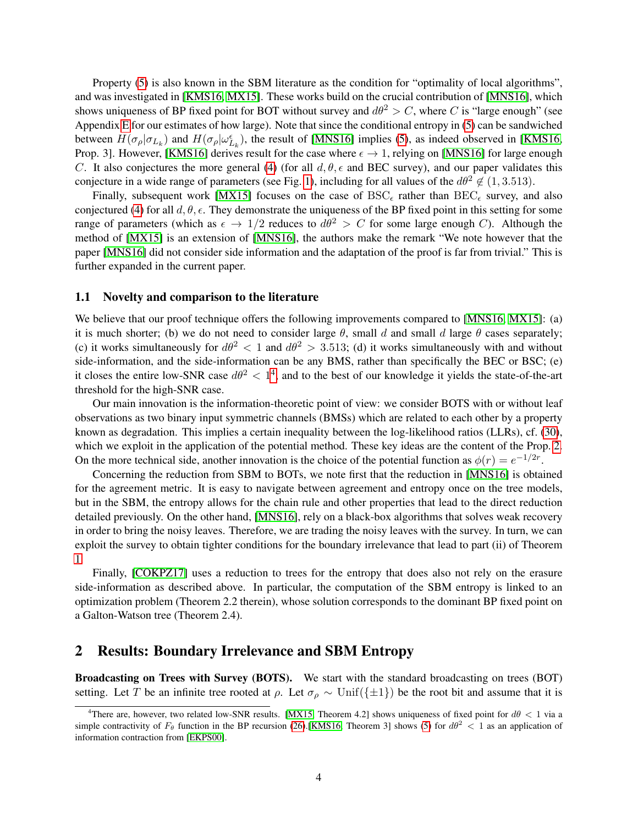Property [\(5\)](#page-2-1) is also known in the SBM literature as the condition for "optimality of local algorithms", and was investigated in [\[KMS16,](#page-11-2) [MX15\]](#page-11-4). These works build on the crucial contribution of [\[MNS16\]](#page-11-3), which shows uniqueness of BP fixed point for BOT without survey and  $d\theta^2 > C$ , where C is "large enough" (see Appendix [E](#page-19-0) for our estimates of how large). Note that since the conditional entropy in [\(5\)](#page-2-1) can be sandwiched between  $H(\sigma_\rho|\sigma_{L_k})$  and  $H(\sigma_\rho|\omega_{L_k}^{\epsilon})$ , the result of [\[MNS16\]](#page-11-3) implies [\(5\)](#page-2-1), as indeed observed in [\[KMS16,](#page-11-2) Prop. 3]. However, [\[KMS16\]](#page-11-2) derives result for the case where  $\epsilon \to 1$ , relying on [\[MNS16\]](#page-11-3) for large enough C. It also conjectures the more general [\(4\)](#page-2-2) (for all  $d, \theta, \epsilon$  and BEC survey), and our paper validates this conjecture in a wide range of parameters (see Fig. [1\)](#page-5-0), including for all values of the  $d\theta^2 \notin (1, 3.513)$ .

Finally, subsequent work [\[MX15\]](#page-11-4) focuses on the case of  $BSC_{\epsilon}$  rather than  $BEC_{\epsilon}$  survey, and also conjectured [\(4\)](#page-2-2) for all  $d, \theta, \epsilon$ . They demonstrate the uniqueness of the BP fixed point in this setting for some range of parameters (which as  $\epsilon \to 1/2$  reduces to  $d\theta^2 > C$  for some large enough C). Although the method of [\[MX15\]](#page-11-4) is an extension of [\[MNS16\]](#page-11-3), the authors make the remark "We note however that the paper [\[MNS16\]](#page-11-3) did not consider side information and the adaptation of the proof is far from trivial." This is further expanded in the current paper.

#### <span id="page-3-0"></span>1.1 Novelty and comparison to the literature

We believe that our proof technique offers the following improvements compared to [\[MNS16,](#page-11-3) [MX15\]](#page-11-4): (a) it is much shorter; (b) we do not need to consider large  $\theta$ , small d and small d large  $\theta$  cases separately; (c) it works simultaneously for  $d\theta^2 < 1$  and  $d\theta^2 > 3.513$ ; (d) it works simultaneously with and without side-information, and the side-information can be any BMS, rather than specifically the BEC or BSC; (e) it closes the entire low-SNR case  $d\theta^2 < 1^4$  $d\theta^2 < 1^4$ , and to the best of our knowledge it yields the state-of-the-art threshold for the high-SNR case.

Our main innovation is the information-theoretic point of view: we consider BOTS with or without leaf observations as two binary input symmetric channels (BMSs) which are related to each other by a property known as degradation. This implies a certain inequality between the log-likelihood ratios (LLRs), cf. [\(30\)](#page-8-0), which we exploit in the application of the potential method. These key ideas are the content of the Prop. [2.](#page-9-0) On the more technical side, another innovation is the choice of the potential function as  $\phi(r) = e^{-1/2r}$ .

Concerning the reduction from SBM to BOTs, we note first that the reduction in [\[MNS16\]](#page-11-3) is obtained for the agreement metric. It is easy to navigate between agreement and entropy once on the tree models, but in the SBM, the entropy allows for the chain rule and other properties that lead to the direct reduction detailed previously. On the other hand, [\[MNS16\]](#page-11-3), rely on a black-box algorithms that solves weak recovery in order to bring the noisy leaves. Therefore, we are trading the noisy leaves with the survey. In turn, we can exploit the survey to obtain tighter conditions for the boundary irrelevance that lead to part (ii) of Theorem [1.](#page-4-0)

Finally, [\[COKPZ17\]](#page-11-0) uses a reduction to trees for the entropy that does also not rely on the erasure side-information as described above. In particular, the computation of the SBM entropy is linked to an optimization problem (Theorem 2.2 therein), whose solution corresponds to the dominant BP fixed point on a Galton-Watson tree (Theorem 2.4).

#### <span id="page-3-2"></span>2 Results: Boundary Irrelevance and SBM Entropy

Broadcasting on Trees with Survey (BOTS). We start with the standard broadcasting on trees (BOT) setting. Let T be an infinite tree rooted at  $\rho$ . Let  $\sigma_{\rho} \sim \text{Unif}(\{\pm 1\})$  be the root bit and assume that it is

<span id="page-3-1"></span><sup>&</sup>lt;sup>4</sup>There are, however, two related low-SNR results. [\[MX15,](#page-11-4) Theorem 4.2] shows uniqueness of fixed point for  $d\theta < 1$  via a simple contractivity of  $F_\theta$  function in the BP recursion [\(26\)](#page-7-0).[\[KMS16,](#page-11-2) Theorem 3] shows [\(5\)](#page-2-1) for  $d\theta^2 < 1$  as an application of information contraction from [\[EKPS00\]](#page-11-11).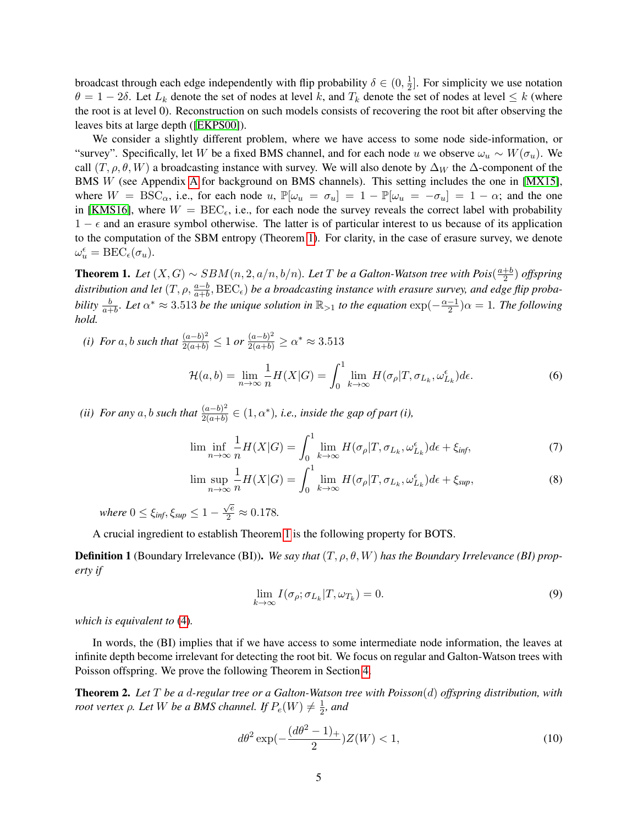broadcast through each edge independently with flip probability  $\delta \in (0, \frac{1}{2})$  $\frac{1}{2}$ . For simplicity we use notation  $\theta = 1 - 2\delta$ . Let  $L_k$  denote the set of nodes at level k, and  $T_k$  denote the set of nodes at level  $\leq k$  (where the root is at level 0). Reconstruction on such models consists of recovering the root bit after observing the leaves bits at large depth ([\[EKPS00\]](#page-11-11)).

We consider a slightly different problem, where we have access to some node side-information, or "survey". Specifically, let W be a fixed BMS channel, and for each node u we observe  $\omega_u \sim W(\sigma_u)$ . We call  $(T, \rho, \theta, W)$  a broadcasting instance with survey. We will also denote by  $\Delta_W$  the  $\Delta$ -component of the BMS W (see Appendix [A](#page-12-0) for background on BMS channels). This setting includes the one in [\[MX15\]](#page-11-4), where  $W = BSC_{\alpha}$ , i.e., for each node u,  $\mathbb{P}[\omega_u = \sigma_u] = 1 - \mathbb{P}[\omega_u = -\sigma_u] = 1 - \alpha$ ; and the one in [\[KMS16\]](#page-11-2), where  $W = \text{BEC}_{\epsilon}$ , i.e., for each node the survey reveals the correct label with probability  $1 - \epsilon$  and an erasure symbol otherwise. The latter is of particular interest to us because of its application to the computation of the SBM entropy (Theorem [1\)](#page-4-0). For clarity, in the case of erasure survey, we denote  $\omega_u^{\epsilon} = \text{BEC}_{\epsilon}(\sigma_u).$ 

<span id="page-4-0"></span>**Theorem 1.** Let  $(X, G) \sim \text{SBM}(n, 2, a/n, b/n)$ . Let T be a Galton-Watson tree with Pois $(\frac{a+b}{2})$  $\frac{+b}{2}$ ) *offspring* distribution and let  $(T, \rho, \frac{a-b}{a+b}, \text{BEC}_{\epsilon})$  be a broadcasting instance with erasure survey, and edge flip proba*bility*  $\frac{b}{a+b}$ *. Let*  $\alpha^* \approx 3.513$  *be the unique solution in*  $\mathbb{R}_{>1}$  *to the equation*  $\exp(-\frac{\alpha-1}{2})$  $\frac{-1}{2}$ ) $\alpha = 1$ . The following *hold.*

*(i) For* a, *b such that*  $\frac{(a-b)^2}{2(a+b)} \le 1$  *or*  $\frac{(a-b)^2}{2(a+b)} \ge \alpha^* \approx 3.513$ 

<span id="page-4-3"></span>
$$
\mathcal{H}(a,b) = \lim_{n \to \infty} \frac{1}{n} H(X|G) = \int_0^1 \lim_{k \to \infty} H(\sigma_\rho | T, \sigma_{L_k}, \omega_{L_k}^\epsilon) d\epsilon.
$$
 (6)

*(ii) For any* a, *b such that*  $\frac{(a-b)^2}{2(a+b)}$  $\frac{(a-b)^2}{2(a+b)} \in (1,\alpha^*)$ , *i.e.*, *inside the gap of part (i)*,

$$
\lim_{n \to \infty} \frac{1}{n} H(X|G) = \int_0^1 \lim_{k \to \infty} H(\sigma_\rho | T, \sigma_{L_k}, \omega_{L_k}^\epsilon) d\epsilon + \xi_{\text{inf}},\tag{7}
$$

$$
\limsup_{n \to \infty} \frac{1}{n} H(X|G) = \int_0^1 \lim_{k \to \infty} H(\sigma_\rho | T, \sigma_{L_k}, \omega_{L_k}^\epsilon) d\epsilon + \xi_{\text{sup}},
$$
\n(8)

*where*  $0 \leq \xi_{\text{inf}}, \xi_{\text{sup}} \leq 1 - \xi$  $\frac{\sqrt{e}}{2} \approx 0.178.$ 

A crucial ingredient to establish Theorem [1](#page-4-0) is the following property for BOTS.

Definition 1 (Boundary Irrelevance (BI)). *We say that* (T, ρ, θ, W) *has the Boundary Irrelevance (BI) property if*

<span id="page-4-4"></span>
$$
\lim_{k \to \infty} I(\sigma_{\rho}; \sigma_{L_k} | T, \omega_{T_k}) = 0.
$$
\n(9)

*which is equivalent to* [\(4\)](#page-2-2)*.*

In words, the (BI) implies that if we have access to some intermediate node information, the leaves at infinite depth become irrelevant for detecting the root bit. We focus on regular and Galton-Watson trees with Poisson offspring. We prove the following Theorem in Section [4.](#page-7-1)

<span id="page-4-2"></span>Theorem 2. *Let* T *be a* d*-regular tree or a Galton-Watson tree with Poisson*(d) *offspring distribution, with root vertex*  $\rho$ *. Let*  $W$  *be a BMS channel. If*  $P_e(W) \neq \frac{1}{2}$  $\frac{1}{2}$ *, and* 

<span id="page-4-1"></span>
$$
d\theta^2 \exp(-\frac{(d\theta^2 - 1)_+}{2})Z(W) < 1,\tag{10}
$$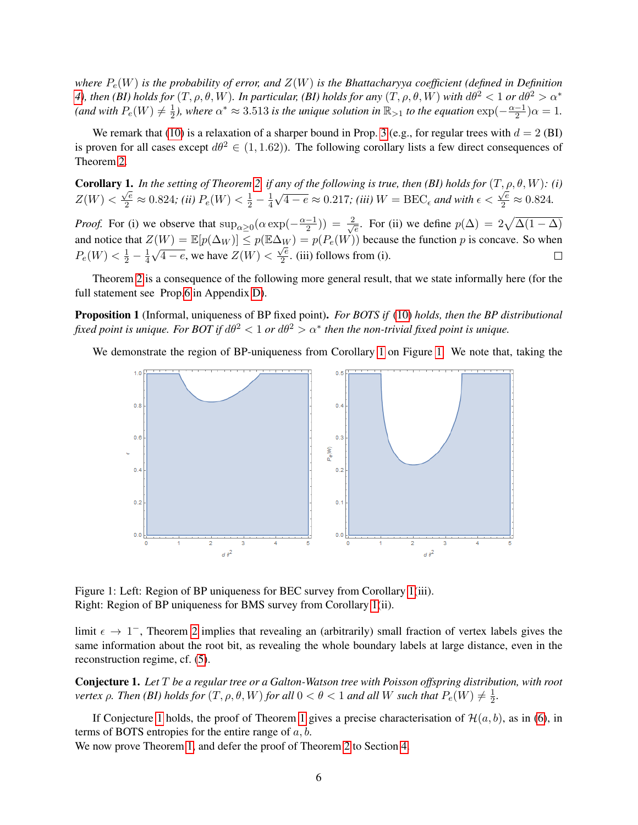*where* Pe(W) *is the probability of error, and* Z(W) *is the Bhattacharyya coefficient (defined in Definition [4\)](#page-12-1), then* (*BI) holds for*  $(T, \rho, \theta, W)$ *. In particular, (BI) holds for any*  $(T, \rho, \theta, W)$  *with*  $d\theta^2 < 1$  *or*  $d\theta^2 > \alpha^*$ (and with  $P_e(W) \neq \frac{1}{2}$  $\frac{1}{2}$ ), where  $\alpha^* \approx 3.513$  is the unique solution in  $\mathbb{R}_{>1}$  to the equation  $\exp(-\frac{\alpha-1}{2})$  $\frac{-1}{2}$ ) $\alpha = 1$ .

We remark that [\(10\)](#page-4-1) is a relaxation of a sharper bound in Prop. [3](#page-9-1) (e.g., for regular trees with  $d = 2$  (BI) is proven for all cases except  $d\theta^2 \in (1, 1.62)$ . The following corollary lists a few direct consequences of Theorem [2.](#page-4-2)

<span id="page-5-1"></span>**Corollary 1.** In the setting of Theorem [2,](#page-4-2) if any of the following is true, then (BI) holds for  $(T, \rho, \theta, W)$ : (i)  $Z(W) < \frac{\sqrt{e}}{2} \approx 0.824;$  *(ii)*  $P_e(W) < \frac{1}{2} - \frac{1}{4}$ 4  $\frac{u}{\sqrt{2}}$  $\overline{4-e} \approx 0.217$ ; (iii)  $W = \text{BEC}_\epsilon$  and with  $\epsilon < \frac{\sqrt{e}}{2} \approx 0.824$ .

*Proof.* For (i) we observe that  $\sup_{\alpha \geq 0} (\alpha \exp(-\frac{\alpha-1}{2}))$  $(\frac{-1}{2})$ ) =  $\frac{2}{\sqrt{2}}$  $\frac{1}{e}$ . For (ii) we define  $p(\Delta) = 2\sqrt{\Delta(1-\Delta)}$ and notice that  $Z(W) = \mathbb{E}[p(\Delta_W)] \le p(\mathbb{E}\Delta_W) = p(P_e(W))$  because the function p is concave. So when  $P_e(W) < \frac{1}{2} - \frac{1}{4}$ 4 √  $\overline{4-e}$ , we have  $Z(W)$  <  $\frac{1}{\sqrt{e}}$  $\frac{1}{2}$ . (iii) follows from (i).

Theorem [2](#page-4-2) is a consequence of the following more general result, that we state informally here (for the full statement see Prop[.6](#page-18-0) in Appendix [D\)](#page-18-1).

Proposition 1 (Informal, uniqueness of BP fixed point). *For BOTS if* [\(10\)](#page-4-1) *holds, then the BP distributional* fixed point is unique. For BOT if  $d\theta^2 < 1$  or  $d\theta^2 > \alpha^*$  then the non-trivial fixed point is unique.

We demonstrate the region of BP-uniqueness from Corollary [1](#page-5-1) on Figure [1.](#page-5-0) We note that, taking the



<span id="page-5-0"></span>Figure 1: Left: Region of BP uniqueness for BEC survey from Corollary [1\(](#page-5-1)iii). Right: Region of BP uniqueness for BMS survey from Corollary [1\(](#page-5-1)ii).

limit  $\epsilon \to 1^-$ , Theorem [2](#page-4-2) implies that revealing an (arbitrarily) small fraction of vertex labels gives the same information about the root bit, as revealing the whole boundary labels at large distance, even in the reconstruction regime, cf. [\(5\)](#page-2-1).

<span id="page-5-2"></span>Conjecture 1. *Let* T *be a regular tree or a Galton-Watson tree with Poisson offspring distribution, with root vertex*  $\rho$ *. Then (BI) holds for*  $(T, \rho, \theta, W)$  *for all*  $0 < \theta < 1$  *and all W such that*  $P_e(W) \neq \frac{1}{2}$  $\frac{1}{2}$ .

If Conjecture [1](#page-4-0) holds, the proof of Theorem 1 gives a precise characterisation of  $\mathcal{H}(a, b)$ , as in [\(6\)](#page-4-3), in terms of BOTS entropies for the entire range of  $a, b$ .

We now prove Theorem [1,](#page-4-0) and defer the proof of Theorem [2](#page-4-2) to Section [4.](#page-7-1)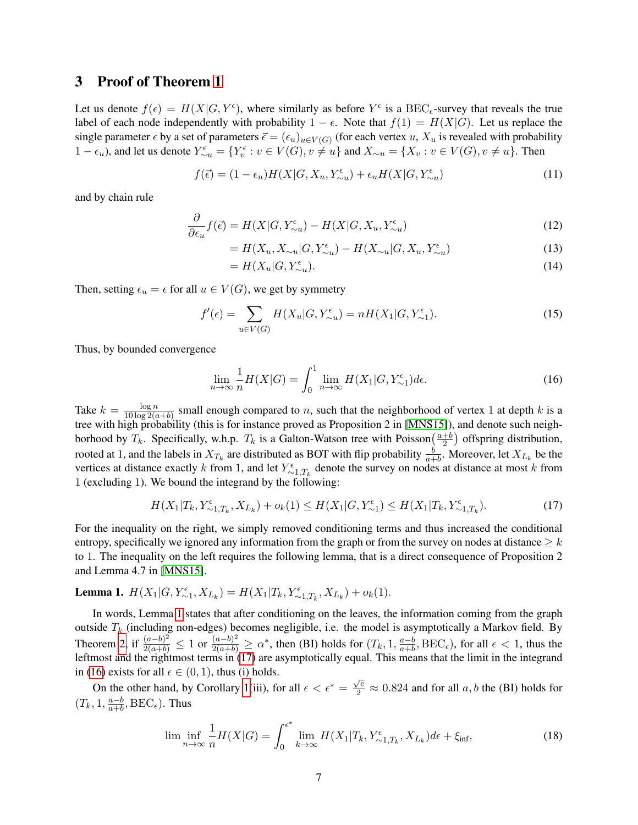#### 3 Proof of Theorem [1](#page-4-0)

Let us denote  $f(\epsilon) = H(X|G, Y^{\epsilon})$ , where similarly as before  $Y^{\epsilon}$  is a BEC<sub> $\epsilon$ </sub>-survey that reveals the true label of each node independently with probability  $1 - \epsilon$ . Note that  $f(1) = H(X|G)$ . Let us replace the single parameter  $\epsilon$  by a set of parameters  $\vec{\epsilon} = (\epsilon_u)_{u \in V(G)}$  (for each vertex  $u, X_u$  is revealed with probability  $1 - \epsilon_u$ ), and let us denote  $Y_{\sim u}^{\epsilon} = \{Y_v^{\epsilon} : v \in V(G), v \neq u\}$  and  $X_{\sim u} = \{X_v : v \in V(G), v \neq u\}$ . Then

$$
f(\vec{\epsilon}) = (1 - \epsilon_u)H(X|G, X_u, Y_{\sim u}^{\epsilon}) + \epsilon_u H(X|G, Y_{\sim u}^{\epsilon})
$$
\n(11)

and by chain rule

$$
\frac{\partial}{\partial \epsilon_u} f(\vec{\epsilon}) = H(X|G, Y_{\sim u}^{\epsilon}) - H(X|G, X_u, Y_{\sim u}^{\epsilon})
$$
\n(12)

$$
=H(X_u, X_{\sim u}|G, Y_{\sim u}^{\epsilon}) - H(X_{\sim u}|G, X_u, Y_{\sim u}^{\epsilon})
$$
\n(13)

<span id="page-6-2"></span>
$$
=H(X_u|G, Y_{\sim u}^{\epsilon}).
$$
\n<sup>(14)</sup>

Then, setting  $\epsilon_u = \epsilon$  for all  $u \in V(G)$ , we get by symmetry

$$
f'(\epsilon) = \sum_{u \in V(G)} H(X_u | G, Y_{\sim u}^{\epsilon}) = n H(X_1 | G, Y_{\sim 1}^{\epsilon}).
$$
\n(15)

Thus, by bounded convergence

<span id="page-6-0"></span>
$$
\lim_{n \to \infty} \frac{1}{n} H(X|G) = \int_0^1 \lim_{n \to \infty} H(X_1|G, Y_{\sim 1}^{\epsilon}) d\epsilon.
$$
 (16)

Take  $k = \frac{\log n}{10 \log 26}$  $\frac{\log n}{10 \log 2(a+b)}$  small enough compared to *n*, such that the neighborhood of vertex 1 at depth k is a tree with high probability (this is for instance proved as Proposition 2 in [\[MNS15\]](#page-11-6)), and denote such neighborhood by  $T_k$ . Specifically, w.h.p.  $T_k$  is a Galton-Watson tree with Poisson $\left(\frac{a+b}{2}\right)$  $\frac{+b}{2}$ ) offspring distribution, rooted at 1, and the labels in  $X_{T_k}$  are distributed as BOT with flip probability  $\frac{b}{a+b}$ . Moreover, let  $X_{L_k}$  be the vertices at distance exactly k from 1, and let  $Y_{\sim 1,T_k}^{\epsilon}$  denote the survey on nodes at distance at most k from 1 (excluding 1). We bound the integrand by the following:

$$
H(X_1|T_k, Y_{\sim 1,T_k}^{\epsilon}, X_{L_k}) + o_k(1) \le H(X_1|G, Y_{\sim 1}^{\epsilon}) \le H(X_1|T_k, Y_{\sim 1,T_k}^{\epsilon}).
$$
\n(17)

For the inequality on the right, we simply removed conditioning terms and thus increased the conditional entropy, specifically we ignored any information from the graph or from the survey on nodes at distance  $\geq k$ to 1. The inequality on the left requires the following lemma, that is a direct consequence of Proposition 2 and Lemma 4.7 in [\[MNS15\]](#page-11-6).

## <span id="page-6-1"></span>**Lemma 1.**  $H(X_1|G, Y_{\sim 1}^{\epsilon}, X_{L_k}) = H(X_1|T_k, Y_{\sim 1,T_k}^{\epsilon}, X_{L_k}) + o_k(1)$ .

In words, Lemma [1](#page-6-1) states that after conditioning on the leaves, the information coming from the graph outside  $T_k$  (including non-edges) becomes negligible, i.e. the model is asymptotically a Markov field. By Theorem [2,](#page-4-2) if  $\frac{(a-b)^2}{2(a+b)} \le 1$  or  $\frac{(a-b)^2}{2(a+b)} \ge \alpha^*$ , then (BI) holds for  $(T_k, 1, \frac{a-b}{a+b})$  $\frac{a-b}{a+b}$ , BEC<sub> $\epsilon$ </sub>), for all  $\epsilon$  < 1, thus the leftmost and the rightmost terms in [\(17\)](#page-6-0) are asymptotically equal. This means that the limit in the integrand in [\(16\)](#page-6-2) exists for all  $\epsilon \in (0, 1)$ , thus (i) holds.

On the other hand, by Corollary [1\(](#page-5-1)iii), for all  $\epsilon < \epsilon^* = \frac{\sqrt{e}}{2} \approx 0.824$  and for all  $a, b$  the (BI) holds for  $(T_k, 1, \frac{a-b}{a+b})$  $\frac{a-b}{a+b},\text{BEC}_{\epsilon}$ ). Thus

$$
\liminf_{n \to \infty} \frac{1}{n} H(X|G) = \int_0^{\epsilon^*} \lim_{k \to \infty} H(X_1|T_k, Y_{\sim 1, T_k}^{\epsilon}, X_{L_k}) d\epsilon + \xi_{\text{inf}},\tag{18}
$$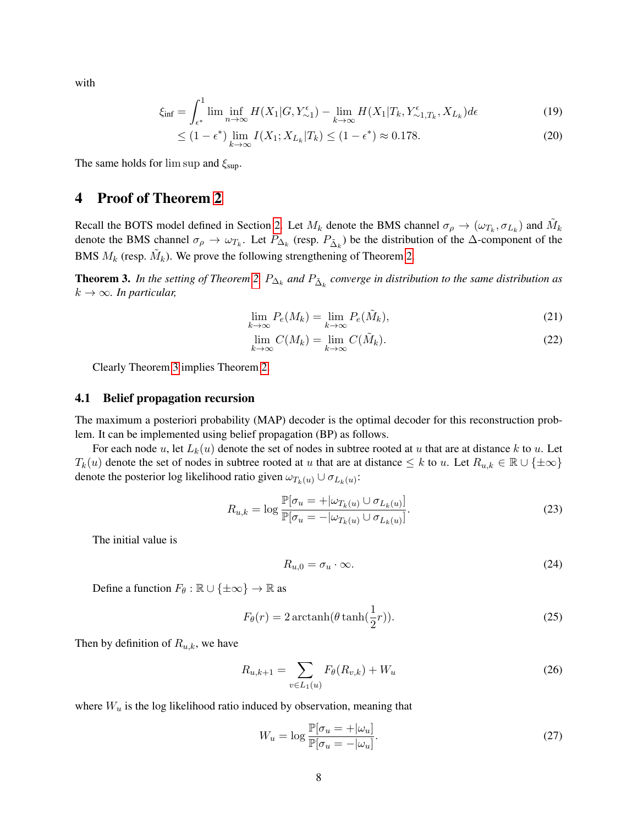with

$$
\xi_{\rm inf} = \int_{\epsilon^*}^1 \liminf_{n \to \infty} H(X_1 | G, Y_{\sim 1}^{\epsilon}) - \lim_{k \to \infty} H(X_1 | T_k, Y_{\sim 1, T_k}^{\epsilon}, X_{L_k}) d\epsilon \tag{19}
$$

$$
\leq (1 - \epsilon^*) \lim_{k \to \infty} I(X_1; X_{L_k} | T_k) \leq (1 - \epsilon^*) \approx 0.178. \tag{20}
$$

The same holds for  $\limsup$  and  $\xi_{\text{sup}}$ .

#### <span id="page-7-1"></span>4 Proof of Theorem [2](#page-4-2)

Recall the BOTS model defined in Section [2.](#page-3-2) Let  $M_k$  denote the BMS channel  $\sigma_\rho \to (\omega_{T_k}, \sigma_{L_k})$  and  $\tilde{M}_k$ denote the BMS channel  $\sigma_{\rho} \to \omega_{T_k}$ . Let  $P_{\Delta_k}$  (resp.  $P_{\tilde{\Delta}_k}$ ) be the distribution of the  $\Delta$ -component of the BMS  $M_k$  (resp.  $\tilde{M}_k$ ). We prove the following strengthening of Theorem [2.](#page-4-2)

<span id="page-7-2"></span>**Theorem 3.** In the setting of Theorem [2,](#page-4-2)  $P_{\Delta_k}$  and  $P_{\tilde{\Delta}_k}$  converge in distribution to the same distribution as  $k \to \infty$ *. In particular,* 

$$
\lim_{k \to \infty} P_e(M_k) = \lim_{k \to \infty} P_e(\tilde{M}_k),\tag{21}
$$

$$
\lim_{k \to \infty} C(M_k) = \lim_{k \to \infty} C(\tilde{M}_k). \tag{22}
$$

Clearly Theorem [3](#page-7-2) implies Theorem [2.](#page-4-2)

#### 4.1 Belief propagation recursion

The maximum a posteriori probability (MAP) decoder is the optimal decoder for this reconstruction problem. It can be implemented using belief propagation (BP) as follows.

For each node u, let  $L_k(u)$  denote the set of nodes in subtree rooted at u that are at distance k to u. Let  $T_k(u)$  denote the set of nodes in subtree rooted at u that are at distance  $\leq k$  to u. Let  $R_{u,k} \in \mathbb{R} \cup \{\pm \infty\}$ denote the posterior log likelihood ratio given  $\omega_{T_k(u)} \cup \sigma_{L_k(u)}$ :

$$
R_{u,k} = \log \frac{\mathbb{P}[\sigma_u = +|\omega_{T_k(u)} \cup \sigma_{L_k(u)}]}{\mathbb{P}[\sigma_u = -|\omega_{T_k(u)} \cup \sigma_{L_k(u)}]}.
$$
\n(23)

The initial value is

<span id="page-7-3"></span><span id="page-7-0"></span>
$$
R_{u,0} = \sigma_u \cdot \infty. \tag{24}
$$

Define a function  $F_{\theta} : \mathbb{R} \cup \{\pm \infty\} \to \mathbb{R}$  as

$$
F_{\theta}(r) = 2 \operatorname{arctanh}(\theta \tanh(\frac{1}{2}r)).
$$
\n(25)

Then by definition of  $R_{u,k}$ , we have

$$
R_{u,k+1} = \sum_{v \in L_1(u)} F_{\theta}(R_{v,k}) + W_u \tag{26}
$$

where  $W_u$  is the log likelihood ratio induced by observation, meaning that

$$
W_u = \log \frac{\mathbb{P}[\sigma_u = +|\omega_u]}{\mathbb{P}[\sigma_u = -|\omega_u]}.
$$
\n(27)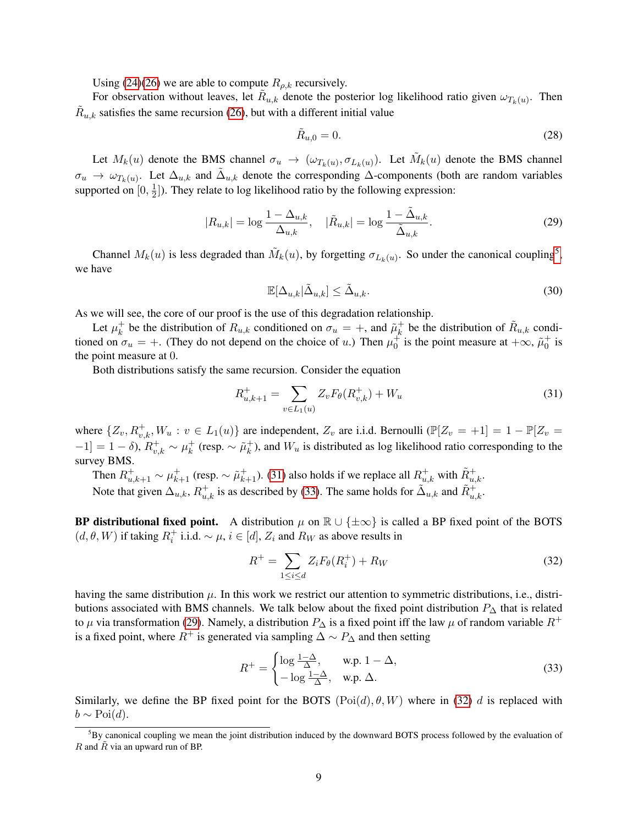Using [\(24\)](#page-7-3)[\(26\)](#page-7-0) we are able to compute  $R_{\rho,k}$  recursively.

For observation without leaves, let  $\tilde{R}_{u,k}$  denote the posterior log likelihood ratio given  $\omega_{T_k(u)}$ . Then  $\tilde{R}_{u,k}$  satisfies the same recursion [\(26\)](#page-7-0), but with a different initial value

<span id="page-8-4"></span>
$$
\tilde{R}_{u,0} = 0.\t(28)
$$

Let  $M_k(u)$  denote the BMS channel  $\sigma_u \to (\omega_{T_k(u)}, \sigma_{L_k(u)})$ . Let  $\tilde{M}_k(u)$  denote the BMS channel  $\sigma_u \to \omega_{T_k(u)}$ . Let  $\Delta_{u,k}$  and  $\tilde{\Delta}_{u,k}$  denote the corresponding  $\Delta$ -components (both are random variables supported on  $[0, \frac{1}{2}]$  $\frac{1}{2}$ ]). They relate to log likelihood ratio by the following expression:

$$
|R_{u,k}| = \log \frac{1 - \Delta_{u,k}}{\Delta_{u,k}}, \quad |\tilde{R}_{u,k}| = \log \frac{1 - \tilde{\Delta}_{u,k}}{\tilde{\Delta}_{u,k}}.
$$
 (29)

Channel  $M_k(u)$  is less degraded than  $\tilde{M}_k(u)$ , by forgetting  $\sigma_{L_k(u)}$ . So under the canonical coupling<sup>[5](#page-8-1)</sup>, we have

<span id="page-8-2"></span><span id="page-8-0"></span>
$$
\mathbb{E}[\Delta_{u,k}|\tilde{\Delta}_{u,k}] \le \tilde{\Delta}_{u,k}.\tag{30}
$$

As we will see, the core of our proof is the use of this degradation relationship.

Let  $\mu_k^+$ <sup>+</sup> be the distribution of  $R_{u,k}$  conditioned on  $\sigma_u = +$ , and  $\tilde{\mu}_k^+$  $\hat{R}_{u,k}$  be the distribution of  $\tilde{R}_{u,k}$  conditioned on  $\sigma_u = +$ . (They do not depend on the choice of u.) Then  $\mu_0^+$  is the point measure at  $+\infty$ ,  $\tilde{\mu}_0^+$  is the point measure at 0.

Both distributions satisfy the same recursion. Consider the equation

$$
R_{u,k+1}^{+} = \sum_{v \in L_1(u)} Z_v F_{\theta}(R_{v,k}^{+}) + W_u
$$
\n(31)

where  $\{Z_v, R_{v,k}^+, W_u : v \in L_1(u)\}\$  are independent,  $Z_v$  are i.i.d. Bernoulli  $(\mathbb{P}[Z_v = +1] = 1 - \mathbb{P}[Z_v =$  $[-1] = 1 - \delta$ ),  $R_{v,k}^+ \sim \mu_k^+$  $_k^+$  (resp. ∼  $\tilde{\mu}_k^+$  $k_{k}^{+}$ ), and  $W_{u}$  is distributed as log likelihood ratio corresponding to the survey BMS.

Then  $R^+_{u,k+1} \sim \mu^+_{k+1}$  (resp.  $\sim \tilde{\mu}^+_{k+1}$ ). [\(31\)](#page-8-2) also holds if we replace all  $R^+_{u,k}$  with  $\tilde{R}^+_{u,k}$ . Note that given  $\Delta_{u,k}$ ,  $R_{u,k}^+$  is as described by [\(33\)](#page-8-3). The same holds for  $\tilde{\Delta}_{u,k}$  and  $\tilde{R}_{u,k}^+$ .

**BP distributional fixed point.** A distribution  $\mu$  on  $\mathbb{R} \cup \{\pm \infty\}$  is called a BP fixed point of the BOTS  $(d, \theta, W)$  if taking  $R_i^+$  i.i.d.  $\sim \mu$ ,  $i \in [d]$ ,  $Z_i$  and  $R_W$  as above results in

<span id="page-8-5"></span>
$$
R^{+} = \sum_{1 \leq i \leq d} Z_{i} F_{\theta}(R_{i}^{+}) + R_{W}
$$
\n(32)

having the same distribution  $\mu$ . In this work we restrict our attention to symmetric distributions, i.e., distributions associated with BMS channels. We talk below about the fixed point distribution  $P_{\Delta}$  that is related to  $\mu$  via transformation [\(29\)](#page-8-4). Namely, a distribution  $P_{\Delta}$  is a fixed point iff the law  $\mu$  of random variable  $R^+$ is a fixed point, where  $R^+$  is generated via sampling  $\Delta \sim P_{\Delta}$  and then setting

<span id="page-8-3"></span>
$$
R^{+} = \begin{cases} \log \frac{1-\Delta}{\Delta}, & \text{w.p. } 1 - \Delta, \\ -\log \frac{1-\Delta}{\Delta}, & \text{w.p. } \Delta. \end{cases}
$$
(33)

Similarly, we define the BP fixed point for the BOTS  $(Poi(d), \theta, W)$  where in [\(32\)](#page-8-5) d is replaced with  $b \sim \text{Poi}(d)$ .

<span id="page-8-1"></span> ${}^{5}$ By canonical coupling we mean the joint distribution induced by the downward BOTS process followed by the evaluation of  $R$  and  $\overline{R}$  via an upward run of BP.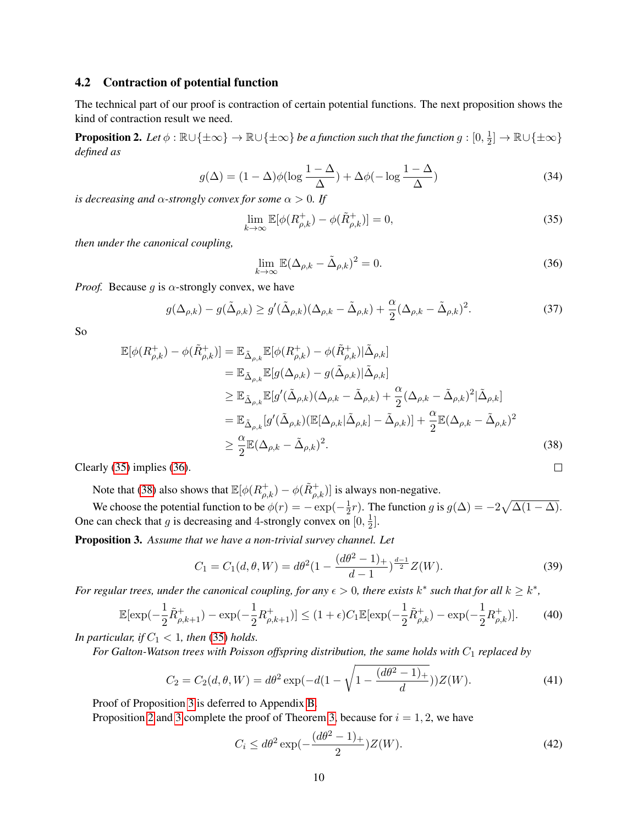#### 4.2 Contraction of potential function

The technical part of our proof is contraction of certain potential functions. The next proposition shows the kind of contraction result we need.

<span id="page-9-0"></span>**Proposition 2.** Let  $\phi : \mathbb{R} \cup \{\pm \infty\} \to \mathbb{R} \cup \{\pm \infty\}$  be a function such that the function  $g : [0, \frac{1}{2}]$  $\frac{1}{2}]\rightarrow\mathbb{R}\cup\{\pm\infty\}$ *defined as*

$$
g(\Delta) = (1 - \Delta)\phi(\log \frac{1 - \Delta}{\Delta}) + \Delta\phi(-\log \frac{1 - \Delta}{\Delta})
$$
\n(34)

*is decreasing and*  $\alpha$ *-strongly convex for some*  $\alpha > 0$ *. If* 

$$
\lim_{k \to \infty} \mathbb{E}[\phi(R_{\rho,k}^+) - \phi(\tilde{R}_{\rho,k}^+)] = 0,\tag{35}
$$

*then under the canonical coupling,*

$$
\lim_{k \to \infty} \mathbb{E} (\Delta_{\rho,k} - \tilde{\Delta}_{\rho,k})^2 = 0.
$$
\n(36)

<span id="page-9-6"></span><span id="page-9-5"></span><span id="page-9-4"></span><span id="page-9-3"></span><span id="page-9-2"></span> $\Box$ 

*Proof.* Because g is  $\alpha$ -strongly convex, we have

$$
g(\Delta_{\rho,k}) - g(\tilde{\Delta}_{\rho,k}) \ge g'(\tilde{\Delta}_{\rho,k}) (\Delta_{\rho,k} - \tilde{\Delta}_{\rho,k}) + \frac{\alpha}{2} (\Delta_{\rho,k} - \tilde{\Delta}_{\rho,k})^2.
$$
 (37)

So

$$
\mathbb{E}[\phi(R_{\rho,k}^{+}) - \phi(\tilde{R}_{\rho,k}^{+})] = \mathbb{E}_{\tilde{\Delta}_{\rho,k}}\mathbb{E}[\phi(R_{\rho,k}^{+}) - \phi(\tilde{R}_{\rho,k}^{+})|\tilde{\Delta}_{\rho,k}]
$$
\n
$$
= \mathbb{E}_{\tilde{\Delta}_{\rho,k}}\mathbb{E}[g(\Delta_{\rho,k}) - g(\tilde{\Delta}_{\rho,k})|\tilde{\Delta}_{\rho,k}]
$$
\n
$$
\geq \mathbb{E}_{\tilde{\Delta}_{\rho,k}}\mathbb{E}[g'(\tilde{\Delta}_{\rho,k})(\Delta_{\rho,k} - \tilde{\Delta}_{\rho,k}) + \frac{\alpha}{2}(\Delta_{\rho,k} - \tilde{\Delta}_{\rho,k})^{2}|\tilde{\Delta}_{\rho,k}]
$$
\n
$$
= \mathbb{E}_{\tilde{\Delta}_{\rho,k}}[g'(\tilde{\Delta}_{\rho,k})(\mathbb{E}[\Delta_{\rho,k}|\tilde{\Delta}_{\rho,k}] - \tilde{\Delta}_{\rho,k})] + \frac{\alpha}{2}\mathbb{E}(\Delta_{\rho,k} - \tilde{\Delta}_{\rho,k})^{2}
$$
\n
$$
\geq \frac{\alpha}{2}\mathbb{E}(\Delta_{\rho,k} - \tilde{\Delta}_{\rho,k})^{2}.
$$
\n(38)

Clearly [\(35\)](#page-9-2) implies [\(36\)](#page-9-3).

Note that [\(38\)](#page-9-4) also shows that  $\mathbb{E}[\phi(R_{\rho,k}^+) - \phi(\tilde{R}_{\rho,k}^+)]$  is always non-negative.

We choose the potential function to be  $\phi(r) = -\exp(-\frac{1}{2})$  $\frac{1}{2}r$ ). The function g is  $g(\Delta) = -2\sqrt{\Delta(1-\Delta)}$ . One can check that g is decreasing and 4-strongly convex on  $[0, \frac{1}{2}]$  $\frac{1}{2}$ .

<span id="page-9-1"></span>Proposition 3. *Assume that we have a non-trivial survey channel. Let*

$$
C_1 = C_1(d, \theta, W) = d\theta^2 \left(1 - \frac{(d\theta^2 - 1)_+}{d - 1}\right)^{\frac{d - 1}{2}} Z(W).
$$
\n(39)

*For regular trees, under the canonical coupling, for any*  $\epsilon > 0$ , there exists  $k^*$  such that for all  $k \geq k^*$ ,

$$
\mathbb{E}[\exp(-\frac{1}{2}\tilde{R}^+_{\rho,k+1}) - \exp(-\frac{1}{2}R^+_{\rho,k+1})] \le (1+\epsilon)C_1\mathbb{E}[\exp(-\frac{1}{2}\tilde{R}^+_{\rho,k}) - \exp(-\frac{1}{2}R^+_{\rho,k})].\tag{40}
$$

*In particular, if*  $C_1 < 1$ *, then* [\(35\)](#page-9-2) *holds.* 

*For Galton-Watson trees with Poisson offspring distribution, the same holds with*  $C_1$  *replaced by* 

$$
C_2 = C_2(d, \theta, W) = d\theta^2 \exp(-d(1 - \sqrt{1 - \frac{(d\theta^2 - 1)_+}{d}}))Z(W).
$$
\n(41)

Proof of Proposition [3](#page-9-1) is deferred to Appendix [B.](#page-13-0)

Proposition [2](#page-9-0) and [3](#page-9-1) complete the proof of Theorem [3,](#page-7-2) because for  $i = 1, 2$ , we have

$$
C_i \le d\theta^2 \exp(-\frac{(d\theta^2 - 1)_+}{2})Z(W). \tag{42}
$$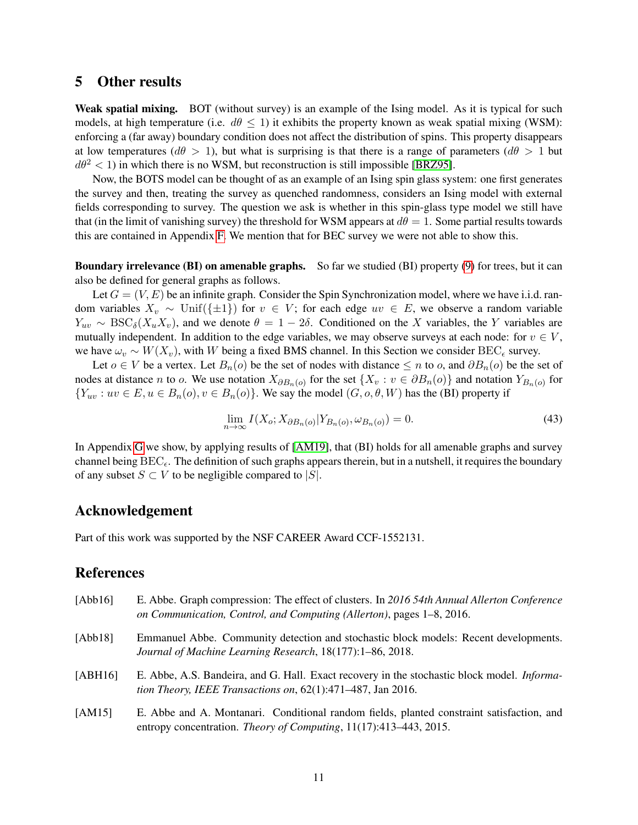#### 5 Other results

Weak spatial mixing. BOT (without survey) is an example of the Ising model. As it is typical for such models, at high temperature (i.e.  $d\theta \leq 1$ ) it exhibits the property known as weak spatial mixing (WSM): enforcing a (far away) boundary condition does not affect the distribution of spins. This property disappears at low temperatures ( $d\theta > 1$ ), but what is surprising is that there is a range of parameters ( $d\theta > 1$  but  $d\theta^2$  < 1) in which there is no WSM, but reconstruction is still impossible [\[BRZ95\]](#page-11-12).

Now, the BOTS model can be thought of as an example of an Ising spin glass system: one first generates the survey and then, treating the survey as quenched randomness, considers an Ising model with external fields corresponding to survey. The question we ask is whether in this spin-glass type model we still have that (in the limit of vanishing survey) the threshold for WSM appears at  $d\theta = 1$ . Some partial results towards this are contained in Appendix [F.](#page-19-1) We mention that for BEC survey we were not able to show this.

Boundary irrelevance (BI) on amenable graphs. So far we studied (BI) property [\(9\)](#page-4-4) for trees, but it can also be defined for general graphs as follows.

Let  $G = (V, E)$  be an infinite graph. Consider the Spin Synchronization model, where we have i.i.d. random variables  $X_v \sim \text{Unif}(\{\pm 1\})$  for  $v \in V$ ; for each edge  $uv \in E$ , we observe a random variable  $Y_{uv} \sim \text{BSC}_{\delta}(X_u X_v)$ , and we denote  $\theta = 1 - 2\delta$ . Conditioned on the X variables, the Y variables are mutually independent. In addition to the edge variables, we may observe surveys at each node: for  $v \in V$ , we have  $\omega_v \sim W(X_v)$ , with W being a fixed BMS channel. In this Section we consider BEC<sub> $\epsilon$ </sub> survey.

Let  $o \in V$  be a vertex. Let  $B_n(o)$  be the set of nodes with distance  $\leq n$  to  $o$ , and  $\partial B_n(o)$  be the set of nodes at distance *n* to *o*. We use notation  $X_{\partial B_n(o)}$  for the set  $\{X_v : v \in \partial B_n(o)\}\$  and notation  $Y_{B_n(o)}$  for  ${Y_{uv}: uv \in E, u \in B_n(o), v \in B_n(o)}$ . We say the model  $(G, o, \theta, W)$  has the (BI) property if

<span id="page-10-4"></span>
$$
\lim_{n \to \infty} I(X_o; X_{\partial B_n(o)} | Y_{B_n(o)}, \omega_{B_n(o)}) = 0.
$$
\n
$$
(43)
$$

In Appendix [G](#page-20-0) we show, by applying results of [\[AM19\]](#page-11-10), that (BI) holds for all amenable graphs and survey channel being  $BEC_{\epsilon}$ . The definition of such graphs appears therein, but in a nutshell, it requires the boundary of any subset  $S \subset V$  to be negligible compared to  $|S|$ .

## Acknowledgement

Part of this work was supported by the NSF CAREER Award CCF-1552131.

## References

<span id="page-10-3"></span><span id="page-10-2"></span><span id="page-10-1"></span><span id="page-10-0"></span>

| [Abb16] | E. Abbe. Graph compression: The effect of clusters. In 2016 54th Annual Allerton Conference<br>on Communication, Control, and Computing (Allerton), pages 1–8, 2016. |
|---------|----------------------------------------------------------------------------------------------------------------------------------------------------------------------|
| [Abb18] | Emmanuel Abbe. Community detection and stochastic block models: Recent developments.<br>Journal of Machine Learning Research, 18(177):1-86, 2018.                    |
| [ABH16] | E. Abbe, A.S. Bandeira, and G. Hall. Exact recovery in the stochastic block model. <i>Informa</i> -<br>tion Theory, IEEE Transactions on, 62(1):471-487, Jan 2016.   |
| [AM15]  | E. Abbe and A. Montanari. Conditional random fields, planted constraint satisfaction, and<br>entropy concentration. Theory of Computing, 11(17):413–443, 2015.       |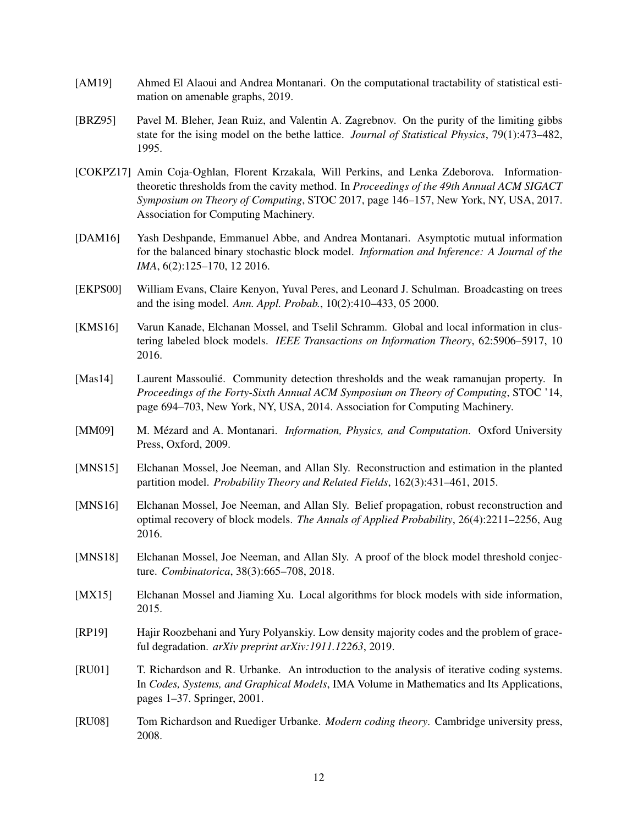- <span id="page-11-10"></span>[AM19] Ahmed El Alaoui and Andrea Montanari. On the computational tractability of statistical estimation on amenable graphs, 2019.
- <span id="page-11-12"></span>[BRZ95] Pavel M. Bleher, Jean Ruiz, and Valentin A. Zagrebnov. On the purity of the limiting gibbs state for the ising model on the bethe lattice. *Journal of Statistical Physics*, 79(1):473–482, 1995.
- <span id="page-11-0"></span>[COKPZ17] Amin Coja-Oghlan, Florent Krzakala, Will Perkins, and Lenka Zdeborova. Informationtheoretic thresholds from the cavity method. In *Proceedings of the 49th Annual ACM SIGACT Symposium on Theory of Computing*, STOC 2017, page 146–157, New York, NY, USA, 2017. Association for Computing Machinery.
- <span id="page-11-1"></span>[DAM16] Yash Deshpande, Emmanuel Abbe, and Andrea Montanari. Asymptotic mutual information for the balanced binary stochastic block model. *Information and Inference: A Journal of the IMA*, 6(2):125–170, 12 2016.
- <span id="page-11-11"></span>[EKPS00] William Evans, Claire Kenyon, Yuval Peres, and Leonard J. Schulman. Broadcasting on trees and the ising model. *Ann. Appl. Probab.*, 10(2):410–433, 05 2000.
- <span id="page-11-2"></span>[KMS16] Varun Kanade, Elchanan Mossel, and Tselil Schramm. Global and local information in clustering labeled block models. *IEEE Transactions on Information Theory*, 62:5906–5917, 10 2016.
- <span id="page-11-5"></span>[Mas14] Laurent Massoulié. Community detection thresholds and the weak ramanujan property. In *Proceedings of the Forty-Sixth Annual ACM Symposium on Theory of Computing*, STOC '14, page 694–703, New York, NY, USA, 2014. Association for Computing Machinery.
- <span id="page-11-9"></span>[MM09] M. Mézard and A. Montanari. *Information, Physics, and Computation*. Oxford University Press, Oxford, 2009.
- <span id="page-11-6"></span>[MNS15] Elchanan Mossel, Joe Neeman, and Allan Sly. Reconstruction and estimation in the planted partition model. *Probability Theory and Related Fields*, 162(3):431–461, 2015.
- <span id="page-11-3"></span>[MNS16] Elchanan Mossel, Joe Neeman, and Allan Sly. Belief propagation, robust reconstruction and optimal recovery of block models. *The Annals of Applied Probability*, 26(4):2211–2256, Aug 2016.
- <span id="page-11-7"></span>[MNS18] Elchanan Mossel, Joe Neeman, and Allan Sly. A proof of the block model threshold conjecture. *Combinatorica*, 38(3):665–708, 2018.
- <span id="page-11-4"></span>[MX15] Elchanan Mossel and Jiaming Xu. Local algorithms for block models with side information, 2015.
- <span id="page-11-14"></span>[RP19] Hajir Roozbehani and Yury Polyanskiy. Low density majority codes and the problem of graceful degradation. *arXiv preprint arXiv:1911.12263*, 2019.
- <span id="page-11-8"></span>[RU01] T. Richardson and R. Urbanke. An introduction to the analysis of iterative coding systems. In *Codes, Systems, and Graphical Models*, IMA Volume in Mathematics and Its Applications, pages 1–37. Springer, 2001.
- <span id="page-11-13"></span>[RU08] Tom Richardson and Ruediger Urbanke. *Modern coding theory*. Cambridge university press, 2008.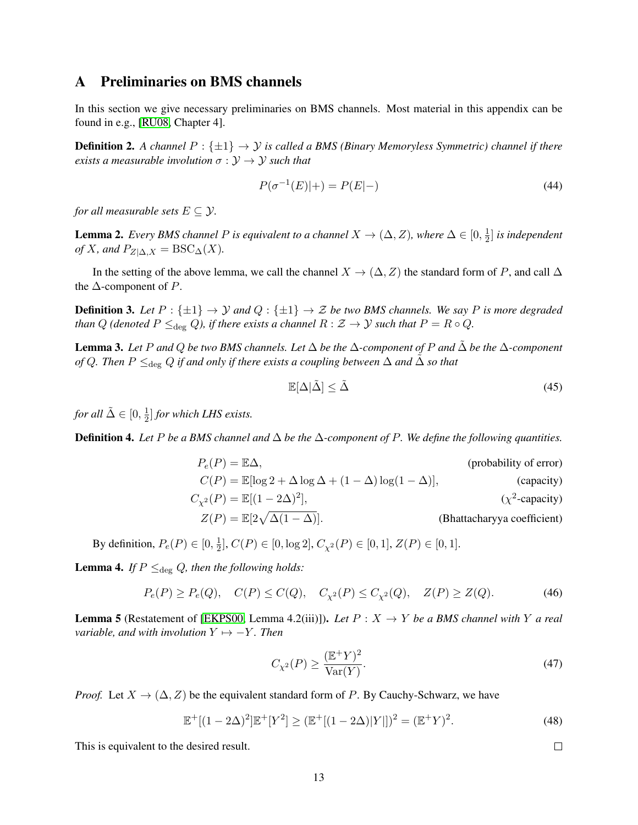#### <span id="page-12-0"></span>A Preliminaries on BMS channels

In this section we give necessary preliminaries on BMS channels. Most material in this appendix can be found in e.g., [\[RU08,](#page-11-13) Chapter 4].

**Definition 2.** A channel  $P : \{\pm 1\} \rightarrow Y$  is called a BMS (Binary Memoryless Symmetric) channel if there *exists a measurable involution*  $\sigma : \mathcal{Y} \to \mathcal{Y}$  *such that* 

$$
P(\sigma^{-1}(E)|+) = P(E|-)
$$
\n(44)

*for all measurable sets*  $E \subseteq Y$ .

**Lemma 2.** *Every BMS channel P is equivalent to a channel*  $X \to (\Delta, Z)$ *, where*  $\Delta \in [0, \frac{1}{2}]$  $\frac{1}{2}$  *is independent of* X*, and*  $P_{Z|\Delta,X} = \text{BSC}_{\Delta}(X)$ *.* 

In the setting of the above lemma, we call the channel  $X \to (\Delta, Z)$  the standard form of P, and call  $\Delta$ the  $\Delta$ -component of P.

**Definition 3.** Let  $P: \{\pm 1\} \rightarrow \mathcal{Y}$  and  $Q: \{\pm 1\} \rightarrow \mathcal{Z}$  be two BMS channels. We say P is more degraded *than* Q (denoted  $P \leq_{\text{deg}} Q$ ), if there exists a channel  $R : \mathcal{Z} \to \mathcal{Y}$  such that  $P = R \circ Q$ .

Lemma 3. *Let* P *and* Q *be two BMS channels. Let* ∆ *be the* ∆*-component of* P *and* ∆˜ *be the* ∆*-component of* Q. Then  $P \leq_{\text{deg}} Q$  *if and only if there exists a coupling between*  $\Delta$  *and*  $\Delta$  *so that* 

$$
\mathbb{E}[\Delta|\tilde{\Delta}] \le \tilde{\Delta} \tag{45}
$$

*for all*  $\tilde{\Delta} \in [0, \frac{1}{2}]$  $\frac{1}{2}$  *for which LHS exists.* 

<span id="page-12-1"></span>Definition 4. Let P be a BMS channel and  $\Delta$  be the  $\Delta$ -component of P. We define the following quantities.

$$
P_e(P) = \mathbb{E}\Delta,
$$
 (probability of error)  
\n
$$
C(P) = \mathbb{E}[\log 2 + \Delta \log \Delta + (1 - \Delta) \log(1 - \Delta)],
$$
 (capacity)  
\n
$$
C_{\chi^2}(P) = \mathbb{E}[(1 - 2\Delta)^2],
$$
 ( $\chi^2$ -capacity)  
\n
$$
Z(P) = \mathbb{E}[2\sqrt{\Delta(1 - \Delta)}].
$$
 (Bhattacharyya coefficient)

By definition,  $P_e(P) \in [0, \frac{1}{2}]$  $\frac{1}{2}$ ,  $C(P) \in [0, \log 2]$ ,  $C_{\chi^2}(P) \in [0, 1]$ ,  $Z(P) \in [0, 1]$ .

<span id="page-12-2"></span>**Lemma 4.** *If*  $P \leq_{\text{deg}} Q$ , then the following holds:

$$
P_e(P) \ge P_e(Q)
$$
,  $C(P) \le C(Q)$ ,  $C_{\chi^2}(P) \le C_{\chi^2}(Q)$ ,  $Z(P) \ge Z(Q)$ . (46)

<span id="page-12-3"></span>**Lemma 5** (Restatement of [\[EKPS00,](#page-11-11) Lemma 4.2(iii)]). Let  $P: X \rightarrow Y$  be a BMS channel with Y a real *variable, and with involution*  $Y \mapsto -Y$ *. Then* 

$$
C_{\chi^2}(P) \ge \frac{(\mathbb{E}^+Y)^2}{\text{Var}(Y)}.\tag{47}
$$

 $\Box$ 

*Proof.* Let  $X \to (\Delta, Z)$  be the equivalent standard form of P. By Cauchy-Schwarz, we have

$$
\mathbb{E}^+[(1-2\Delta)^2]\mathbb{E}^+[Y^2] \ge (\mathbb{E}^+[(1-2\Delta)|Y|])^2 = (\mathbb{E}^+Y)^2. \tag{48}
$$

This is equivalent to the desired result.

13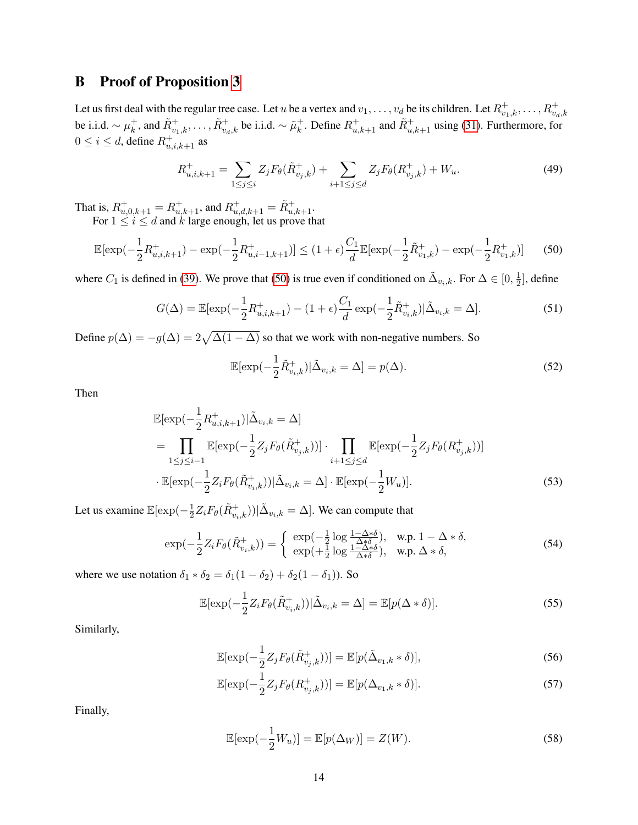## <span id="page-13-0"></span>B Proof of Proposition [3](#page-9-1)

Let us first deal with the regular tree case. Let u be a vertex and  $v_1,\ldots,v_d$  be its children. Let  $R^+_{v_1,k},\ldots,R^+_{v_d,k}$ be i.i.d.  $\sim \mu_k^+$  $\tilde{k}$ , and  $\tilde{R}^+_{v_1,k}, \ldots, \tilde{R}^+_{v_d,k}$  be i.i.d.  $\sim \tilde{\mu}^+_k$ <sup>+</sup><sub>k</sub>. Define  $R_{u,k+1}^+$  and  $\tilde{R}_{u,k+1}^+$  using [\(31\)](#page-8-2). Furthermore, for  $0 \le i \le d$ , define  $R^+_{u,i,k+1}$  as

$$
R_{u,i,k+1}^{+} = \sum_{1 \leq j \leq i} Z_j F_{\theta}(\tilde{R}_{v_j,k}^{+}) + \sum_{i+1 \leq j \leq d} Z_j F_{\theta}(R_{v_j,k}^{+}) + W_u.
$$
 (49)

That is,  $R^+_{u,0,k+1} = R^+_{u,k+1}$ , and  $R^+_{u,d,k+1} = \tilde{R}^+_{u,k+1}$ . For  $1 \leq i \leq d$  and k large enough, let us prove that

$$
\mathbb{E}[\exp(-\frac{1}{2}R_{u,i,k+1}^+) - \exp(-\frac{1}{2}R_{u,i-1,k+1}^+)] \le (1+\epsilon)\frac{C_1}{d}\mathbb{E}[\exp(-\frac{1}{2}\tilde{R}_{v_1,k}^+) - \exp(-\frac{1}{2}R_{v_1,k}^+)] \tag{50}
$$

where  $C_1$  is defined in [\(39\)](#page-9-5). We prove that [\(50\)](#page-13-1) is true even if conditioned on  $\tilde{\Delta}_{v_i,k}$ . For  $\Delta \in [0, \frac{1}{2}]$  $\frac{1}{2}$ , define

$$
G(\Delta) = \mathbb{E}[\exp(-\frac{1}{2}R_{u,i,k+1}^+) - (1+\epsilon)\frac{C_1}{d}\exp(-\frac{1}{2}\tilde{R}_{v_i,k}^+)|\tilde{\Delta}_{v_i,k} = \Delta].
$$
 (51)

Define  $p(\Delta) = -g(\Delta) = 2\sqrt{\Delta(1-\Delta)}$  so that we work with non-negative numbers. So

<span id="page-13-2"></span><span id="page-13-1"></span>
$$
\mathbb{E}[\exp(-\frac{1}{2}\tilde{R}_{v_i,k}^+)|\tilde{\Delta}_{v_i,k}=\Delta] = p(\Delta). \tag{52}
$$

Then

$$
\mathbb{E}[\exp(-\frac{1}{2}R_{u,i,k+1}^{+})|\tilde{\Delta}_{v_i,k} = \Delta] \n= \prod_{1 \leq j \leq i-1} \mathbb{E}[\exp(-\frac{1}{2}Z_j F_{\theta}(\tilde{R}_{v_j,k}^{+}))] \cdot \prod_{i+1 \leq j \leq d} \mathbb{E}[\exp(-\frac{1}{2}Z_j F_{\theta}(R_{v_j,k}^{+}))] \n\cdot \mathbb{E}[\exp(-\frac{1}{2}Z_i F_{\theta}(\tilde{R}_{v_i,k}^{+}))|\tilde{\Delta}_{v_i,k} = \Delta] \cdot \mathbb{E}[\exp(-\frac{1}{2}W_u)].
$$
\n(53)

Let us examine  $\mathbb{E}[\exp(-\frac{1}{2})]$  $\frac{1}{2}Z_{i}F_{\theta}(\tilde{R}_{v_{i},k}^{+}))|\tilde{\Delta}_{v_{i},k}=\Delta].$  We can compute that

$$
\exp(-\frac{1}{2}Z_i F_{\theta}(\tilde{R}_{v_i,k}^+)) = \begin{cases} \exp(-\frac{1}{2}\log\frac{1-\Delta*\delta}{\Delta*\delta}), & \text{w.p. } 1-\Delta*\delta, \\ \exp(+\frac{1}{2}\log\frac{1-\Delta*\delta}{\Delta*\delta}), & \text{w.p. } \Delta*\delta, \end{cases}
$$
(54)

where we use notation  $\delta_1 * \delta_2 = \delta_1(1 - \delta_2) + \delta_2(1 - \delta_1)$ ). So

$$
\mathbb{E}[\exp(-\frac{1}{2}Z_i F_{\theta}(\tilde{R}_{v_i,k}^+))|\tilde{\Delta}_{v_i,k} = \Delta] = \mathbb{E}[p(\Delta * \delta)].
$$
\n(55)

Similarly,

$$
\mathbb{E}[\exp(-\frac{1}{2}Z_j F_{\theta}(\tilde{R}_{v_j,k}^+))] = \mathbb{E}[p(\tilde{\Delta}_{v_1,k} * \delta)],\tag{56}
$$

$$
\mathbb{E}[\exp(-\frac{1}{2}Z_j F_{\theta}(R_{v_j,k}^+))] = \mathbb{E}[p(\Delta_{v_1,k} * \delta)].
$$
\n(57)

Finally,

$$
\mathbb{E}[\exp(-\frac{1}{2}W_u)] = \mathbb{E}[p(\Delta_W)] = Z(W). \tag{58}
$$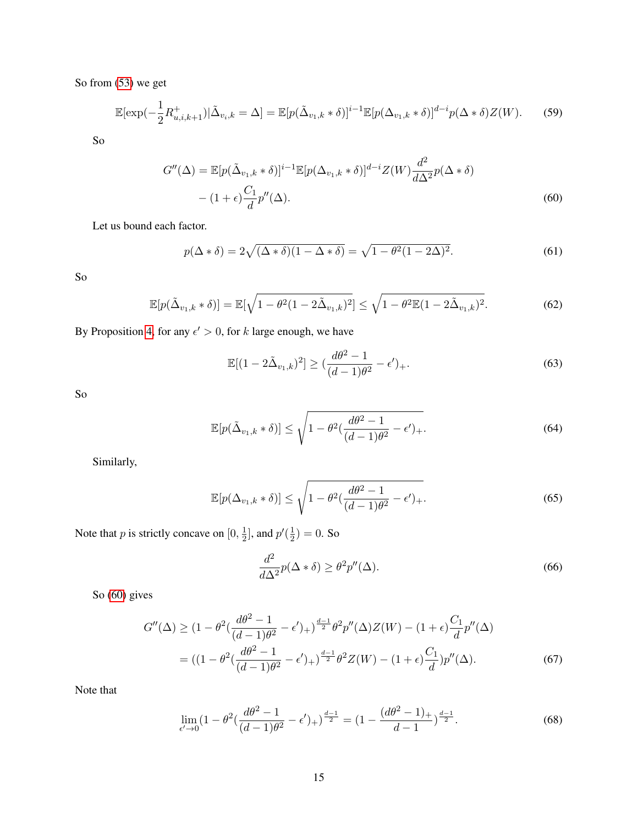So from [\(53\)](#page-13-2) we get

$$
\mathbb{E}[\exp(-\frac{1}{2}R_{u,i,k+1}^+)|\tilde{\Delta}_{v_i,k}=\Delta] = \mathbb{E}[p(\tilde{\Delta}_{v_1,k}*\delta)]^{i-1}\mathbb{E}[p(\Delta_{v_1,k}*\delta)]^{d-i}p(\Delta*\delta)Z(W). \tag{59}
$$

So

$$
G''(\Delta) = \mathbb{E}[p(\tilde{\Delta}_{v_1,k} * \delta)]^{i-1} \mathbb{E}[p(\Delta_{v_1,k} * \delta)]^{d-i} Z(W) \frac{d^2}{d\Delta^2} p(\Delta * \delta)
$$

$$
- (1 + \epsilon) \frac{C_1}{d} p''(\Delta). \tag{60}
$$

Let us bound each factor.

$$
p(\Delta * \delta) = 2\sqrt{(\Delta * \delta)(1 - \Delta * \delta)} = \sqrt{1 - \theta^2(1 - 2\Delta)^2}.
$$
 (61)

So

$$
\mathbb{E}[p(\tilde{\Delta}_{v_1,k} * \delta)] = \mathbb{E}[\sqrt{1 - \theta^2 (1 - 2\tilde{\Delta}_{v_1,k})^2}] \le \sqrt{1 - \theta^2 \mathbb{E}(1 - 2\tilde{\Delta}_{v_1,k})^2}.
$$
 (62)

By Proposition [4,](#page-16-0) for any  $\epsilon' > 0$ , for k large enough, we have

<span id="page-14-1"></span><span id="page-14-0"></span>
$$
\mathbb{E}[(1-2\tilde{\Delta}_{v_1,k})^2] \ge \left(\frac{d\theta^2 - 1}{(d-1)\theta^2} - \epsilon'\right)_+.
$$
\n(63)

So

$$
\mathbb{E}[p(\tilde{\Delta}_{v_1,k} * \delta)] \le \sqrt{1 - \theta^2(\frac{d\theta^2 - 1}{(d-1)\theta^2} - \epsilon')} + .
$$
\n(64)

Similarly,

$$
\mathbb{E}[p(\Delta_{v_1,k} * \delta)] \le \sqrt{1 - \theta^2(\frac{d\theta^2 - 1}{(d-1)\theta^2} - \epsilon')} + .
$$
\n(65)

Note that p is strictly concave on  $[0, \frac{1}{2}]$  $\frac{1}{2}$ ], and  $p'(\frac{1}{2})$  $(\frac{1}{2}) = 0.$  So

<span id="page-14-2"></span>
$$
\frac{d^2}{d\Delta^2}p(\Delta * \delta) \ge \theta^2 p''(\Delta). \tag{66}
$$

So [\(60\)](#page-14-0) gives

$$
G''(\Delta) \ge (1 - \theta^2 \left(\frac{d\theta^2 - 1}{(d-1)\theta^2} - \epsilon' \right)) + \frac{d-1}{2} \theta^2 p''(\Delta) Z(W) - (1 + \epsilon) \frac{C_1}{d} p''(\Delta)
$$
  
=  $((1 - \theta^2 \left(\frac{d\theta^2 - 1}{(d-1)\theta^2} - \epsilon' \right)) + \frac{d-1}{2} \theta^2 Z(W) - (1 + \epsilon) \frac{C_1}{d} p''(\Delta).$  (67)

Note that

$$
\lim_{\epsilon' \to 0} \left(1 - \theta^2 \left(\frac{d\theta^2 - 1}{(d-1)\theta^2} - \epsilon'\right)_{+}\right)^{\frac{d-1}{2}} = \left(1 - \frac{(d\theta^2 - 1)_{+}}{d-1}\right)^{\frac{d-1}{2}}.\tag{68}
$$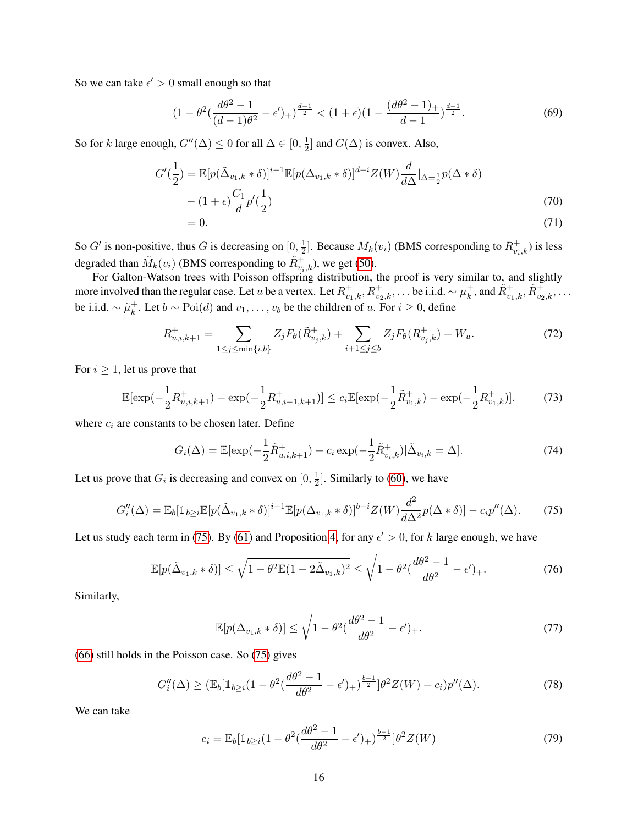So we can take  $\epsilon' > 0$  small enough so that

$$
(1 - \theta^2 \left( \frac{d\theta^2 - 1}{(d-1)\theta^2} - \epsilon' \right)_+)^{\frac{d-1}{2}} < (1 + \epsilon)(1 - \frac{(d\theta^2 - 1)_+}{d-1})^{\frac{d-1}{2}}.\tag{69}
$$

So for k large enough,  $G''(\Delta) \leq 0$  for all  $\Delta \in [0, \frac{1}{2})$  $\frac{1}{2}$  and  $G(\Delta)$  is convex. Also,

$$
G'(\frac{1}{2}) = \mathbb{E}[p(\tilde{\Delta}_{v_1,k} * \delta)]^{i-1} \mathbb{E}[p(\Delta_{v_1,k} * \delta)]^{d-i} Z(W) \frac{d}{d\Delta}|_{\Delta = \frac{1}{2}} p(\Delta * \delta)
$$
  
 
$$
- (1 + \epsilon) \frac{C_1}{d} p'(\frac{1}{2})
$$
 (70)  
 
$$
= 0.
$$

So G' is non-positive, thus G is decreasing on  $[0, \frac{1}{2}]$  $\frac{1}{2}$ ]. Because  $M_k(v_i)$  (BMS corresponding to  $R_{v_i,k}^+$ ) is less degraded than  $\tilde{M}_k(v_i)$  (BMS corresponding to  $\tilde{R}^+_{v_i,k}$ ), we get [\(50\)](#page-13-1).

For Galton-Watson trees with Poisson offspring distribution, the proof is very similar to, and slightly more involved than the regular case. Let u be a vertex. Let  $R_{v_1,k}^+, R_{v_2,k}^+, \ldots$  be i.i.d.  $\sim \mu_k^+$  $\tilde{k}$ , and  $\tilde{R}_{v_1,k}^+$ ,  $\tilde{R}_{v_2,k}^+$ ,  $\dots$ be i.i.d.  $\sim \tilde{\mu}_k^+$  $k<sub>k</sub>$ . Let  $b \sim \text{Poi}(d)$  and  $v_1, \ldots, v_b$  be the children of u. For  $i ≥ 0$ , define

$$
R_{u,i,k+1}^{+} = \sum_{1 \le j \le \min\{i,b\}} Z_j F_{\theta}(\tilde{R}_{v_j,k}^{+}) + \sum_{i+1 \le j \le b} Z_j F_{\theta}(R_{v_j,k}^{+}) + W_u.
$$
 (72)

For  $i \geq 1$ , let us prove that

$$
\mathbb{E}[\exp(-\frac{1}{2}R_{u,i,k+1}^+) - \exp(-\frac{1}{2}R_{u,i-1,k+1}^+)] \le c_i \mathbb{E}[\exp(-\frac{1}{2}\tilde{R}_{v_1,k}^+) - \exp(-\frac{1}{2}R_{v_1,k}^+)].\tag{73}
$$

where  $c_i$  are constants to be chosen later. Define

<span id="page-15-1"></span>
$$
G_i(\Delta) = \mathbb{E}[\exp(-\frac{1}{2}\tilde{R}_{u,i,k+1}^+) - c_i \exp(-\frac{1}{2}\tilde{R}_{v_i,k}^+)|\tilde{\Delta}_{v_i,k} = \Delta].
$$
 (74)

Let us prove that  $G_i$  is decreasing and convex on  $[0, \frac{1}{2}]$  $\frac{1}{2}$ . Similarly to [\(60\)](#page-14-0), we have

$$
G_i''(\Delta) = \mathbb{E}_b[\mathbb{1}_{b \ge i} \mathbb{E}[p(\tilde{\Delta}_{v_1,k} * \delta)]^{i-1} \mathbb{E}[p(\Delta_{v_1,k} * \delta)]^{b-i} Z(W) \frac{d^2}{d\Delta^2} p(\Delta * \delta)] - c_i p''(\Delta). \tag{75}
$$

Let us study each term in [\(75\)](#page-15-0). By [\(61\)](#page-14-1) and Proposition [4,](#page-16-0) for any  $\epsilon' > 0$ , for k large enough, we have

$$
\mathbb{E}[p(\tilde{\Delta}_{v_1,k} * \delta)] \le \sqrt{1 - \theta^2 \mathbb{E}(1 - 2\tilde{\Delta}_{v_1,k})^2} \le \sqrt{1 - \theta^2 (\frac{d\theta^2 - 1}{d\theta^2} - \epsilon')_+}.
$$
\n(76)

Similarly,

<span id="page-15-0"></span>
$$
\mathbb{E}[p(\Delta_{v_1,k} * \delta)] \le \sqrt{1 - \theta^2(\frac{d\theta^2 - 1}{d\theta^2} - \epsilon')} + .
$$
\n(77)

[\(66\)](#page-14-2) still holds in the Poisson case. So [\(75\)](#page-15-0) gives

$$
G_i''(\Delta) \ge (\mathbb{E}_b[\mathbb{1}_{b \ge i}(1 - \theta^2(\frac{d\theta^2 - 1}{d\theta^2} - \epsilon')_+)^\frac{b-1}{2}]\theta^2 Z(W) - c_i)p''(\Delta). \tag{78}
$$

We can take

<span id="page-15-2"></span>
$$
c_i = \mathbb{E}_b[\mathbb{1}_{b \ge i}(1 - \theta^2(\frac{d\theta^2 - 1}{d\theta^2} - \epsilon')_+)^{\frac{b-1}{2}}]\theta^2 Z(W) \tag{79}
$$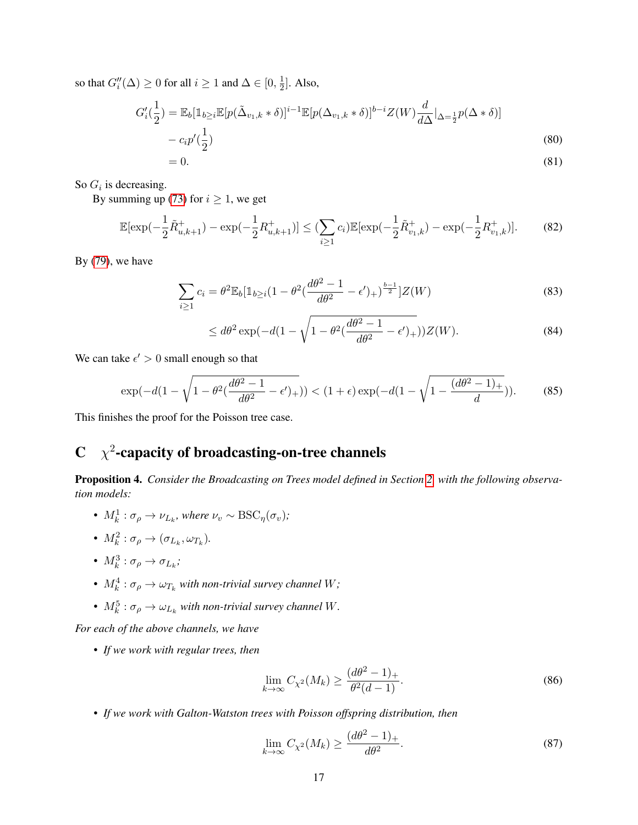so that  $G_i''(\Delta) \ge 0$  for all  $i \ge 1$  and  $\Delta \in [0, \frac{1}{2}]$  $\frac{1}{2}$ . Also,

$$
G_i'(\frac{1}{2}) = \mathbb{E}_b[\mathbb{1}_{b \ge i} \mathbb{E}[p(\tilde{\Delta}_{v_1,k} * \delta)]^{i-1} \mathbb{E}[p(\Delta_{v_1,k} * \delta)]^{b-i} Z(W) \frac{d}{d\Delta} |_{\Delta = \frac{1}{2}} p(\Delta * \delta)] - c_i p'(\frac{1}{2})
$$
\n(80)

$$
=0.\t(81)
$$

So  $G_i$  is decreasing.

By summing up [\(73\)](#page-15-1) for  $i \ge 1$ , we get

$$
\mathbb{E}[\exp(-\frac{1}{2}\tilde{R}_{u,k+1}^+) - \exp(-\frac{1}{2}R_{u,k+1}^+)] \le (\sum_{i\ge 1}c_i)\mathbb{E}[\exp(-\frac{1}{2}\tilde{R}_{v_1,k}^+) - \exp(-\frac{1}{2}R_{v_1,k}^+)].\tag{82}
$$

By [\(79\)](#page-15-2), we have

$$
\sum_{i\geq 1} c_i = \theta^2 \mathbb{E}_b[\mathbb{1}_{b\geq i} (1 - \theta^2(\frac{d\theta^2 - 1}{d\theta^2} - \epsilon')_+)^{\frac{b-1}{2}}]Z(W) \tag{83}
$$

$$
\leq d\theta^2 \exp(-d(1-\sqrt{1-\theta^2(\frac{d\theta^2-1}{d\theta^2}-\epsilon')_+}))Z(W). \tag{84}
$$

We can take  $\epsilon' > 0$  small enough so that

$$
\exp(-d(1-\sqrt{1-\theta^2(\frac{d\theta^2-1}{d\theta^2}-\epsilon')_+})) < (1+\epsilon)\exp(-d(1-\sqrt{1-\frac{(d\theta^2-1)_+}{d}})).
$$
 (85)

This finishes the proof for the Poisson tree case.

## $C \chi^2$ -capacity of broadcasting-on-tree channels

<span id="page-16-0"></span>Proposition 4. Consider the Broadcasting on Trees model defined in Section [2,](#page-3-2) with the following observa*tion models:*

- $M_k^1 : \sigma_\rho \to \nu_{L_k}$ , where  $\nu_v \sim \text{BSC}_\eta(\sigma_v)$ ;
- $M_k^2 : \sigma_\rho \to (\sigma_{L_k}, \omega_{T_k}).$
- $M_k^3 : \sigma_\rho \to \sigma_{L_k};$
- $M_k^4$ :  $\sigma_\rho \to \omega_{T_k}$  with non-trivial survey channel W;
- $M_k^5$ :  $\sigma_\rho \to \omega_{L_k}$  with non-trivial survey channel W.

*For each of the above channels, we have*

• *If we work with regular trees, then*

$$
\lim_{k \to \infty} C_{\chi^2}(M_k) \ge \frac{(d\theta^2 - 1)_+}{\theta^2(d - 1)}.
$$
\n(86)

• *If we work with Galton-Watston trees with Poisson offspring distribution, then*

$$
\lim_{k \to \infty} C_{\chi^2}(M_k) \ge \frac{(d\theta^2 - 1)_+}{d\theta^2}.
$$
\n(87)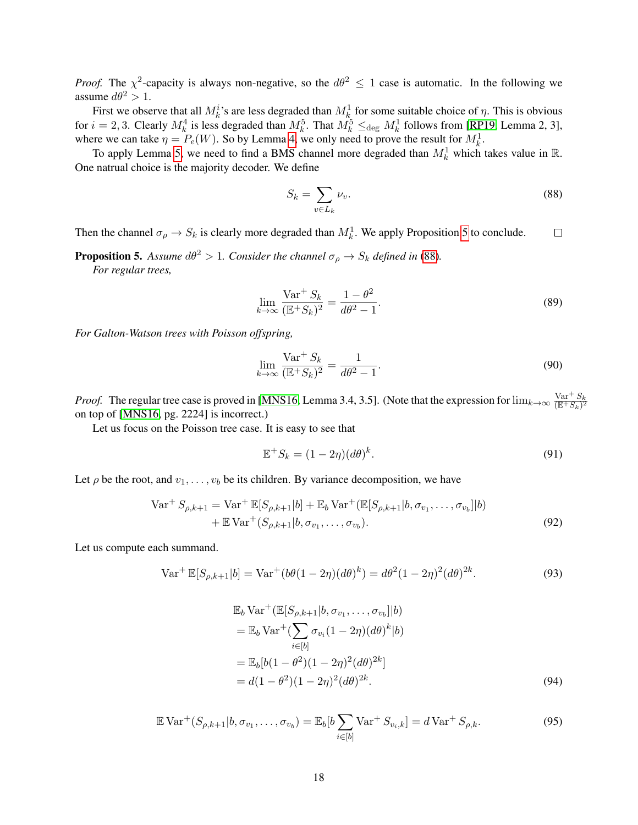*Proof.* The  $\chi^2$ -capacity is always non-negative, so the  $d\theta^2 \leq 1$  case is automatic. In the following we assume  $d\theta^2 > 1$ .

First we observe that all  $M_k^i$ 's are less degraded than  $M_k^1$  for some suitable choice of  $\eta$ . This is obvious for  $i = 2, 3$ . Clearly  $M_k^4$  is less degraded than  $M_k^5$ . That  $M_k^5 \leq_{\text{deg}} M_k^1$  follows from [\[RP19,](#page-11-14) Lemma 2, 3], where we can take  $\eta = P_e(W)$ . So by Lemma [4,](#page-12-2) we only need to prove the result for  $M_k^1$ .

To apply Lemma [5,](#page-12-3) we need to find a BMS channel more degraded than  $M_k^1$  which takes value in R. One natrual choice is the majority decoder. We define

<span id="page-17-1"></span>
$$
S_k = \sum_{v \in L_k} \nu_v.
$$
\n(88)

Then the channel  $\sigma_{\rho} \to S_k$  is clearly more degraded than  $M_k^1$ . We apply Proposition [5](#page-17-0) to conclude.  $\Box$ 

<span id="page-17-0"></span>**Proposition 5.** Assume  $d\theta^2 > 1$ . Consider the channel  $\sigma_\rho \to S_k$  defined in [\(88\)](#page-17-1). *For regular trees,*

$$
\lim_{k \to \infty} \frac{\text{Var}^+ S_k}{(\mathbb{E}^+ S_k)^2} = \frac{1 - \theta^2}{d\theta^2 - 1}.
$$
\n(89)

*For Galton-Watson trees with Poisson offspring,*

$$
\lim_{k \to \infty} \frac{\text{Var}^+ S_k}{(\mathbb{E}^+ S_k)^2} = \frac{1}{d\theta^2 - 1}.
$$
\n(90)

*Proof.* The regular tree case is proved in [\[MNS16,](#page-11-3) Lemma 3.4, 3.5]. (Note that the expression for  $\lim_{k\to\infty} \frac{\text{Var}^+ S_k}{(\mathbb{R}^+ S_k)^2}$  $\overline{(\mathbb{E}^+S_k)^2}$ on top of [\[MNS16,](#page-11-3) pg. 2224] is incorrect.)

Let us focus on the Poisson tree case. It is easy to see that

<span id="page-17-6"></span><span id="page-17-5"></span><span id="page-17-2"></span>
$$
\mathbb{E}^+ S_k = (1 - 2\eta)(d\theta)^k. \tag{91}
$$

Let  $\rho$  be the root, and  $v_1, \ldots, v_b$  be its children. By variance decomposition, we have

$$
\text{Var}^+ S_{\rho,k+1} = \text{Var}^+ \mathbb{E}[S_{\rho,k+1}|b] + \mathbb{E}_b \text{Var}^+(\mathbb{E}[S_{\rho,k+1}|b, \sigma_{v_1}, \dots, \sigma_{v_b}]|b) + \mathbb{E} \text{Var}^+(S_{\rho,k+1}|b, \sigma_{v_1}, \dots, \sigma_{v_b}).
$$
\n(92)

Let us compute each summand.

$$
\text{Var}^+ \mathbb{E}[S_{\rho,k+1}|b] = \text{Var}^+(b\theta(1-2\eta)(d\theta)^k) = d\theta^2(1-2\eta)^2(d\theta)^{2k}.
$$
 (93)

<span id="page-17-4"></span><span id="page-17-3"></span>
$$
\mathbb{E}_b \text{Var}^+(\mathbb{E}[S_{\rho,k+1}|b,\sigma_{v_1},\dots,\sigma_{v_b}]|b) \n= \mathbb{E}_b \text{Var}^+(\sum_{i\in[b]} \sigma_{v_i}(1-2\eta)(d\theta)^k|b) \n= \mathbb{E}_b[b(1-\theta^2)(1-2\eta)^2(d\theta)^{2k}] \n= d(1-\theta^2)(1-2\eta)^2(d\theta)^{2k}.
$$
\n(94)

$$
\mathbb{E} \operatorname{Var}^+(S_{\rho,k+1}|b,\sigma_{v_1},\ldots,\sigma_{v_b}) = \mathbb{E}_b[b] \sum_{i \in [b]} \operatorname{Var}^+ S_{v_i,k}] = d \operatorname{Var}^+ S_{\rho,k}.
$$
 (95)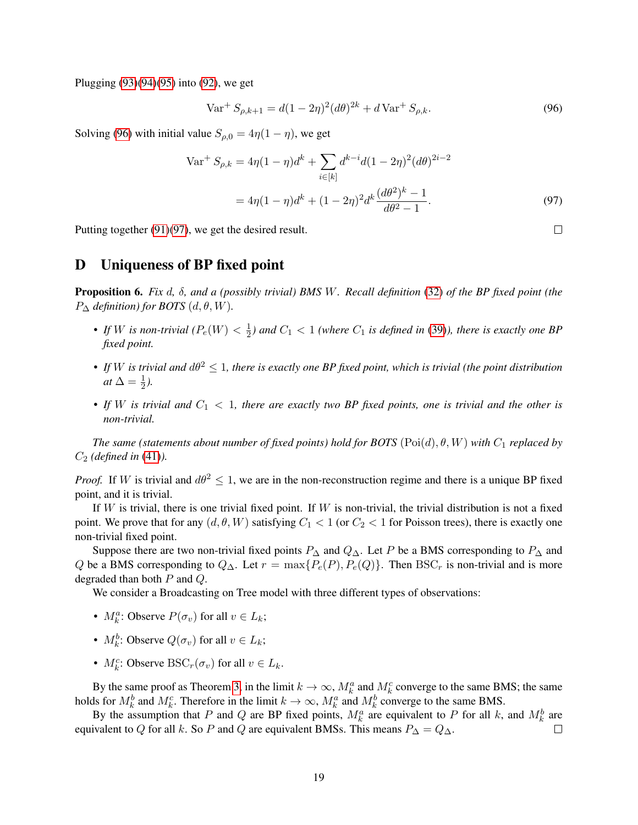Plugging [\(93\)](#page-17-2)[\(94\)](#page-17-3)[\(95\)](#page-17-4) into [\(92\)](#page-17-5), we get

$$
\text{Var}^+ S_{\rho,k+1} = d(1 - 2\eta)^2 (d\theta)^{2k} + d\text{Var}^+ S_{\rho,k}.
$$
 (96)

Solving [\(96\)](#page-18-2) with initial value  $S_{\rho,0} = 4\eta(1-\eta)$ , we get

$$
\text{Var}^+ S_{\rho,k} = 4\eta (1 - \eta) d^k + \sum_{i \in [k]} d^{k-i} d (1 - 2\eta)^2 (d\theta)^{2i - 2}
$$

$$
= 4\eta (1 - \eta) d^k + (1 - 2\eta)^2 d^k \frac{(d\theta^2)^k - 1}{d\theta^2 - 1}.
$$
(97)

Putting together [\(91\)](#page-17-6)[\(97\)](#page-18-3), we get the desired result.

#### <span id="page-18-1"></span>D Uniqueness of BP fixed point

<span id="page-18-0"></span>Proposition 6. *Fix* d*,* δ*, and a (possibly trivial) BMS* W*. Recall definition* [\(32\)](#page-8-5) *of the BP fixed point (the*  $P_{\Delta}$  *definition) for BOTS*  $(d, \theta, W)$ .

- If W is non-trivial  $(P_e(W) < \frac{1}{2})$  $\frac{1}{2}$ ) and  $C_1 < 1$  (where  $C_1$  is defined in [\(39\)](#page-9-5)), there is exactly one BP *fixed point.*
- If W is trivial and  $d\theta^2 \leq 1$ , there is exactly one BP fixed point, which is trivial (the point distribution *at*  $\Delta = \frac{1}{2}$ ).
- If W is trivial and  $C_1 < 1$ , there are exactly two BP fixed points, one is trivial and the other is *non-trivial.*

*The same (statements about number of fixed points) hold for BOTS*  $(Poi(d), \theta, W)$  *with*  $C_1$  *replaced by* C<sup>2</sup> *(defined in* [\(41\)](#page-9-6)*).*

*Proof.* If W is trivial and  $d\theta^2 \leq 1$ , we are in the non-reconstruction regime and there is a unique BP fixed point, and it is trivial.

If W is trivial, there is one trivial fixed point. If W is non-trivial, the trivial distribution is not a fixed point. We prove that for any  $(d, \theta, W)$  satisfying  $C_1 < 1$  (or  $C_2 < 1$  for Poisson trees), there is exactly one non-trivial fixed point.

Suppose there are two non-trivial fixed points  $P_{\Delta}$  and  $Q_{\Delta}$ . Let P be a BMS corresponding to  $P_{\Delta}$  and Q be a BMS corresponding to  $Q_{\Delta}$ . Let  $r = \max\{P_e(P), P_e(Q)\}\$ . Then BSC<sub>r</sub> is non-trivial and is more degraded than both P and Q.

We consider a Broadcasting on Tree model with three different types of observations:

- $M_k^a$ : Observe  $P(\sigma_v)$  for all  $v \in L_k$ ;
- $M_k^b$ : Observe  $Q(\sigma_v)$  for all  $v \in L_k$ ;
- $M_k^c$ : Observe BSC<sub>r</sub>( $\sigma_v$ ) for all  $v \in L_k$ .

By the same proof as Theorem [3,](#page-7-2) in the limit  $k \to \infty$ ,  $M_k^a$  and  $M_k^c$  converge to the same BMS; the same holds for  $M_k^b$  and  $M_k^c$ . Therefore in the limit  $k \to \infty$ ,  $M_k^a$  and  $M_k^b$  converge to the same BMS.

By the assumption that P and Q are BP fixed points,  $M_k^a$  are equivalent to P for all k, and  $M_k^b$  are equivalent to Q for all k. So P and Q are equivalent BMSs. This means  $P_{\Delta} = Q_{\Delta}$ . П

<span id="page-18-3"></span><span id="page-18-2"></span> $\Box$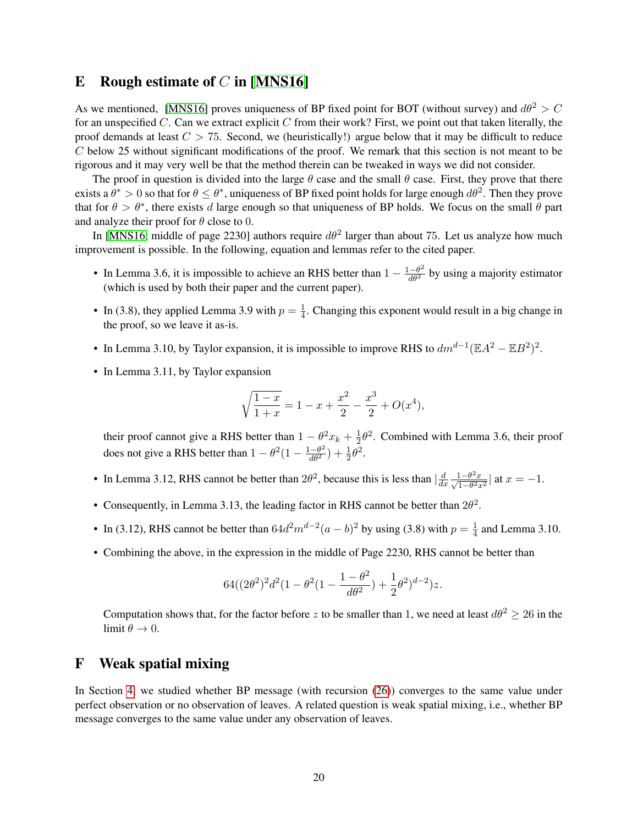#### <span id="page-19-0"></span>E Rough estimate of  $C$  in [\[MNS16\]](#page-11-3)

As we mentioned, [\[MNS16\]](#page-11-3) proves uniqueness of BP fixed point for BOT (without survey) and  $d\theta^2 > C$ for an unspecified C. Can we extract explicit C from their work? First, we point out that taken literally, the proof demands at least  $C > 75$ . Second, we (heuristically!) argue below that it may be difficult to reduce C below 25 without significant modifications of the proof. We remark that this section is not meant to be rigorous and it may very well be that the method therein can be tweaked in ways we did not consider.

The proof in question is divided into the large  $\theta$  case and the small  $\theta$  case. First, they prove that there exists a  $\theta^* > 0$  so that for  $\theta \le \theta^*$ , uniqueness of BP fixed point holds for large enough  $d\theta^2$ . Then they prove that for  $\theta > \theta^*$ , there exists d large enough so that uniqueness of BP holds. We focus on the small  $\theta$  part and analyze their proof for  $\theta$  close to 0.

In [\[MNS16,](#page-11-3) middle of page 2230] authors require  $d\theta^2$  larger than about 75. Let us analyze how much improvement is possible. In the following, equation and lemmas refer to the cited paper.

- In Lemma 3.6, it is impossible to achieve an RHS better than  $1 \frac{1-\theta^2}{d\theta^2}$  by using a majority estimator (which is used by both their paper and the current paper).
- In (3.8), they applied Lemma 3.9 with  $p = \frac{1}{4}$  $\frac{1}{4}$ . Changing this exponent would result in a big change in the proof, so we leave it as-is.
- In Lemma 3.10, by Taylor expansion, it is impossible to improve RHS to  $dm^{d-1}(\mathbb{E}A^2 \mathbb{E}B^2)^2$ .
- In Lemma 3.11, by Taylor expansion

$$
\sqrt{\frac{1-x}{1+x}} = 1 - x + \frac{x^2}{2} - \frac{x^3}{2} + O(x^4),
$$

their proof cannot give a RHS better than  $1 - \theta^2 x_k + \frac{1}{2}$  $\frac{1}{2}\theta^2$ . Combined with Lemma 3.6, their proof does not give a RHS better than  $1 - \theta^2 (1 - \frac{1 - \theta^2}{d\theta^2}) + \frac{1}{2}\theta^2$ .

- In Lemma 3.12, RHS cannot be better than  $2\theta^2$ , because this is less than  $\frac{d}{dt}$  $dx$  $\frac{1-\theta^2 x}{\sqrt{1-\theta^2 x^2}}$  | at  $x = -1$ .
- Consequently, in Lemma 3.13, the leading factor in RHS cannot be better than  $2\theta^2$ .
- In (3.12), RHS cannot be better than  $64d^2m^{d-2}(a-b)^2$  by using (3.8) with  $p=\frac{1}{4}$  $\frac{1}{4}$  and Lemma 3.10.
- Combining the above, in the expression in the middle of Page 2230, RHS cannot be better than

$$
64((2\theta^2)^2d^2(1-\theta^2(1-\frac{1-\theta^2}{d\theta^2})+\frac{1}{2}\theta^2)^{d-2})z.
$$

Computation shows that, for the factor before z to be smaller than 1, we need at least  $d\theta^2 \geq 26$  in the limit  $\theta \to 0$ .

#### <span id="page-19-1"></span>F Weak spatial mixing

In Section [4,](#page-7-1) we studied whether BP message (with recursion [\(26\)](#page-7-0)) converges to the same value under perfect observation or no observation of leaves. A related question is weak spatial mixing, i.e., whether BP message converges to the same value under any observation of leaves.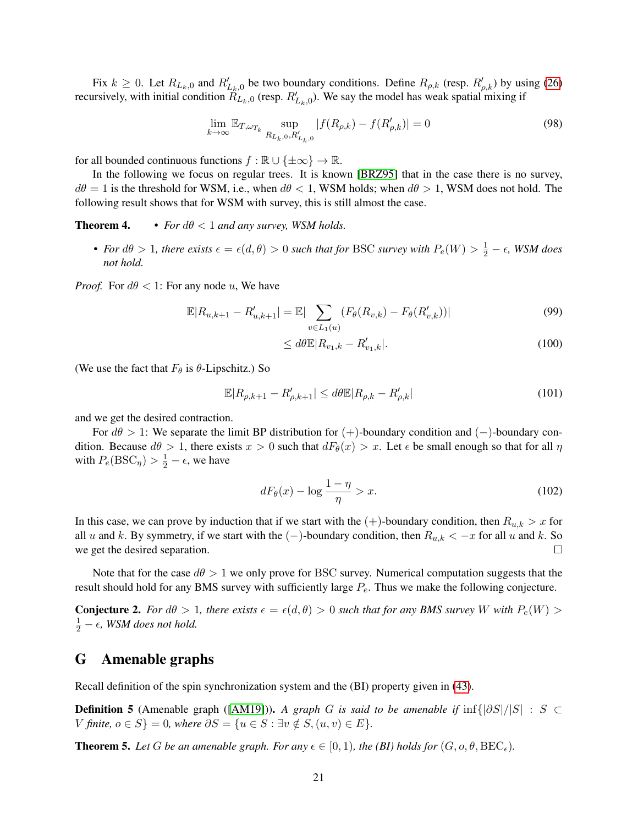Fix  $k \ge 0$ . Let  $R_{L_k,0}$  and  $R'_{L_k,0}$  be two boundary conditions. Define  $R_{\rho,k}$  (resp.  $R'_{\rho,k}$ ) by using [\(26\)](#page-7-0) recursively, with initial condition  $\hat{R}_{L_k,0}$  (resp.  $R'_{L_k,0}$ ). We say the model has weak spatial mixing if

$$
\lim_{k \to \infty} \mathbb{E}_{T, \omega_{T_k}} \sup_{R_{L_k, 0}, R'_{L_k, 0}} |f(R_{\rho, k}) - f(R'_{\rho, k})| = 0
$$
\n(98)

for all bounded continuous functions  $f : \mathbb{R} \cup \{\pm \infty\} \to \mathbb{R}$ .

In the following we focus on regular trees. It is known [\[BRZ95\]](#page-11-12) that in the case there is no survey,  $d\theta = 1$  is the threshold for WSM, i.e., when  $d\theta < 1$ , WSM holds; when  $d\theta > 1$ , WSM does not hold. The following result shows that for WSM with survey, this is still almost the case.

**Theorem 4.** • *For*  $d\theta < 1$  *and any survey, WSM holds.* 

• For  $d\theta > 1$ , there exists  $\epsilon = \epsilon(d, \theta) > 0$  such that for BSC survey with  $P_e(W) > \frac{1}{2} - \epsilon$ , WSM does *not hold.*

*Proof.* For  $d\theta < 1$ : For any node u, We have

$$
\mathbb{E}|R_{u,k+1} - R'_{u,k+1}| = \mathbb{E}|\sum_{v \in L_1(u)} (F_{\theta}(R_{v,k}) - F_{\theta}(R'_{v,k}))|
$$
\n(99)

$$
\leq d\theta \mathbb{E}|R_{v_1,k} - R'_{v_1,k}|.\tag{100}
$$

(We use the fact that  $F_{\theta}$  is  $\theta$ -Lipschitz.) So

$$
\mathbb{E}|R_{\rho,k+1} - R'_{\rho,k+1}| \le d\theta \mathbb{E}|R_{\rho,k} - R'_{\rho,k}| \tag{101}
$$

and we get the desired contraction.

For  $d\theta > 1$ : We separate the limit BP distribution for  $(+)$ -boundary condition and  $(-)$ -boundary condition. Because  $d\theta > 1$ , there exists  $x > 0$  such that  $dF_{\theta}(x) > x$ . Let  $\epsilon$  be small enough so that for all  $\eta$ with  $P_e(\text{BSC}_{\eta}) > \frac{1}{2} - \epsilon$ , we have

$$
dF_{\theta}(x) - \log \frac{1 - \eta}{\eta} > x. \tag{102}
$$

In this case, we can prove by induction that if we start with the  $(+)$ -boundary condition, then  $R_{u,k} > x$  for all u and k. By symmetry, if we start with the  $(-)$ -boundary condition, then  $R_{u,k} < -x$  for all u and k. So we get the desired separation.  $\Box$ 

Note that for the case  $d\theta > 1$  we only prove for BSC survey. Numerical computation suggests that the result should hold for any BMS survey with sufficiently large  $P_e$ . Thus we make the following conjecture.

**Conjecture 2.** For  $d\theta > 1$ , there exists  $\epsilon = \epsilon(d, \theta) > 0$  such that for any BMS survey W with  $P_e(W) > 0$  $\frac{1}{2}$  –  $\epsilon$ , WSM does not hold.

#### <span id="page-20-0"></span>G Amenable graphs

Recall definition of the spin synchronization system and the (BI) property given in [\(43\)](#page-10-4).

Definition 5 (Amenable graph ([\[AM19\]](#page-11-10))). *A graph* G *is said to be amenable if* inf{|∂S|/|S| : S ⊂ V finite,  $o \in S$ } = 0, where  $\partial S = \{u \in S : \exists v \notin S, (u, v) \in E\}.$ 

**Theorem 5.** Let G be an amenable graph. For any  $\epsilon \in [0, 1)$ , the (BI) holds for  $(G, o, \theta, \text{BEC}_{\epsilon})$ .